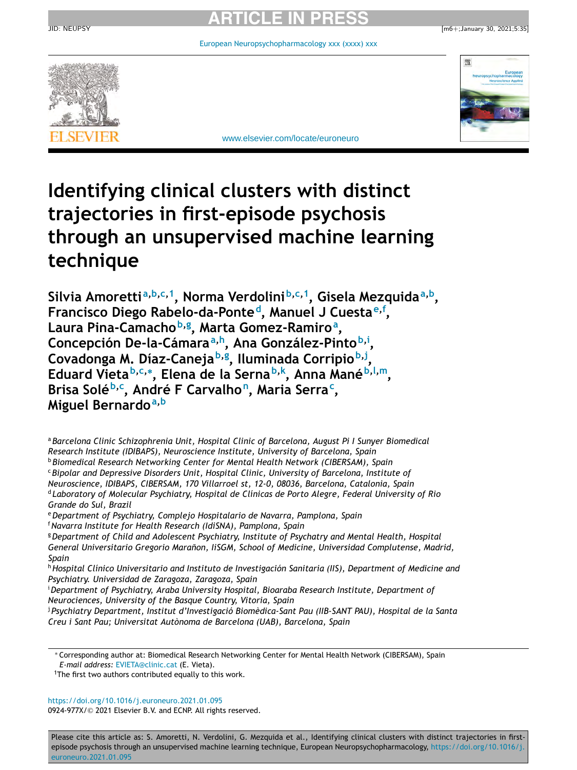



[www.elsevier.com/locate/euroneuro](http://www.elsevier.com/locate/euroneuro)

# **Identifying clinical clusters with distinct trajectories in first-episode psychosis through an unsupervised machine learning technique**

**Silvia Amorettia,b,c,1, Norma Verdolinib,c,1, Gisela Mezquidaa,b, Francisco Diego Rabelo-da-Ponted, Manuel J Cuestae,f , Laura Pina-Camachob,g , Marta Gomez-Ramiro<sup>a</sup> , Concepción De-la-Cámaraa,h, Ana González-Pintob,i , Covadonga M. Díaz-Canejab,g , Iluminada Corripiob,j , Eduard Vietab,c,<sup>∗</sup> , Elena de la Sernab[,k](#page-1-0) , Anna Manéb[,l,m,](#page-1-0) Brisa Soléb,c , André F Carvalho[n,](#page-1-0) Maria Serra<sup>c</sup> , Miguel Bernardoa,b**

<sup>a</sup>*Barcelona Clinic Schizophrenia Unit, Hospital Clinic of Barcelona, August Pi I Sunyer Biomedical Research Institute (IDIBAPS), Neuroscience Institute, University of Barcelona, Spain* <sup>b</sup>*Biomedical Research Networking Center for Mental Health Network (CIBERSAM), Spain* <sup>c</sup>*Bipolar and Depressive Disorders Unit, Hospital Clinic, University of Barcelona, Institute of Neuroscience, IDIBAPS, CIBERSAM, 170 Villarroel st, 12-0, 08036, Barcelona, Catalonia, Spain* <sup>d</sup> *Laboratory of Molecular Psychiatry, Hospital de Clínicas de Porto Alegre, Federal University of Rio Grande do Sul, Brazil* <sup>e</sup>*Department of Psychiatry, Complejo Hospitalario de Navarra, Pamplona, Spain* <sup>f</sup>*Navarra Institute for Health Research (IdiSNA), Pamplona, Spain* <sup>g</sup>*Department of Child and Adolescent Psychiatry, Institute of Psychatry and Mental Health, Hospital*

*General Universitario Gregorio Marañon, IiSGM, School of Medicine, Universidad Complutense, Madrid, Spain*

<sup>h</sup>*Hospital Clínico Universitario and Instituto de Investigación Sanitaria (IIS), Department of Medicine and Psychiatry. Universidad de Zaragoza, Zaragoza, Spain*

i *Department of Psychiatry, Araba University Hospital, Bioaraba Research Institute, Department of Neurociences, University of the Basque Country, Vitoria, Spain*

<sup>j</sup>*Psychiatry Department, Institut d'Investigació Biomèdica-Sant Pau (IIB-SANT PAU), Hospital de la Santa Creu i Sant Pau; Universitat Autònoma de Barcelona (UAB), Barcelona, Spain*

∗ Corresponding author at: Biomedical Research Networking Center for Mental Health Network (CIBERSAM), Spain *E-mail address:* [EVIETA@clinic.cat](mailto:EVIETA@clinic.cat) (E. Vieta).

<sup>1</sup>The first two authors contributed equally to this work.

<https://doi.org/10.1016/j.euroneuro.2021.01.095> 0924-977X/© 2021 Elsevier B.V. and ECNP. All rights reserved.

Please cite this article as: S. Amoretti, N. Verdolini, G. Mezquida et al., Identifying clinical clusters with distinct trajectories in firstepisode psychosis through an unsupervised machine learning technique, European Neuropsychopharmacology, [https://doi.org/10.1016/j.](https://doi.org/10.1016/j.euroneuro.2021.01.095) euroneuro.2021.01.095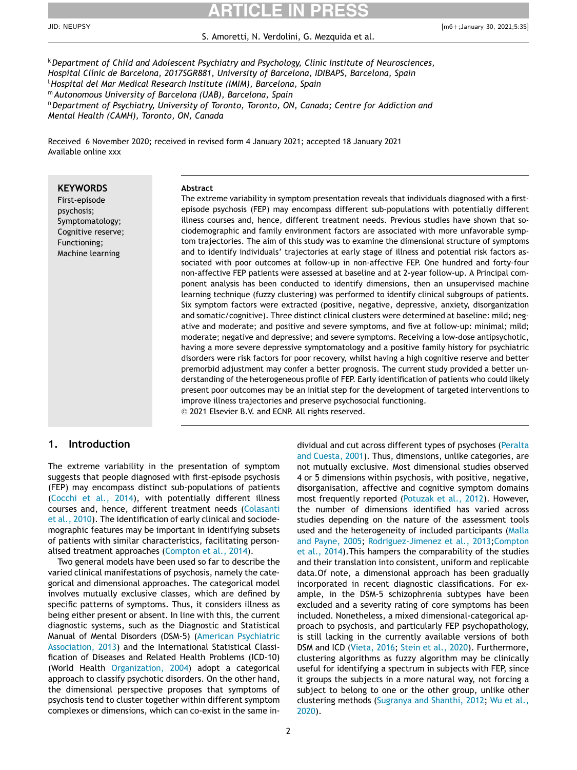#### S. Amoretti, N. Verdolini, G. Mezquida et al.

<span id="page-1-0"></span><sup>k</sup>*Department of Child and Adolescent Psychiatry and Psychology, Clínic Institute of Neurosciences, Hospital Clínic de Barcelona, 2017SGR881, University of Barcelona, IDIBAPS, Barcelona, Spain* l *Hospital del Mar Medical Research Institute (IMIM), Barcelona, Spain* <sup>m</sup> *Autonomous University of Barcelona (UAB), Barcelona, Spain* <sup>n</sup>*Department of Psychiatry, University of Toronto, Toronto, ON, Canada; Centre for Addiction and Mental Health (CAMH), Toronto, ON, Canada*

Received 6 November 2020; received in revised form 4 January 2021; accepted 18 January 2021 Available online xxx

## **KEYWORDS**

First-episode psychosis; Symptomatology; Cognitive reserve; Functioning; Machine learning

#### **Abstract**

The extreme variability in symptom presentation reveals that individuals diagnosed with a firstepisode psychosis (FEP) may encompass different sub-populations with potentially different illness courses and, hence, different treatment needs. Previous studies have shown that sociodemographic and family environment factors are associated with more unfavorable symptom trajectories. The aim of this study was to examine the dimensional structure of symptoms and to identify individuals' trajectories at early stage of illness and potential risk factors associated with poor outcomes at follow-up in non-affective FEP. One hundred and forty-four non-affective FEP patients were assessed at baseline and at 2-year follow-up. A Principal component analysis has been conducted to identify dimensions, then an unsupervised machine learning technique (fuzzy clustering) was performed to identify clinical subgroups of patients. Six symptom factors were extracted (positive, negative, depressive, anxiety, disorganization and somatic/cognitive). Three distinct clinical clusters were determined at baseline: mild; negative and moderate; and positive and severe symptoms, and five at follow-up: minimal; mild; moderate; negative and depressive; and severe symptoms. Receiving a low-dose antipsychotic, having a more severe depressive symptomatology and a positive family history for psychiatric disorders were risk factors for poor recovery, whilst having a high cognitive reserve and better premorbid adjustment may confer a better prognosis. The current study provided a better understanding of the heterogeneous profile of FEP. Early identification of patients who could likely present poor outcomes may be an initial step for the development of targeted interventions to improve illness trajectories and preserve psychosocial functioning. © 2021 Elsevier B.V. and ECNP. All rights reserved.

## **1. Introduction**

The extreme variability in the presentation of symptom suggests that people diagnosed with first-episode psychosis (FEP) may encompass distinct sub-populations of patients [\(Cocchi](#page-15-0) et al., 2014), with potentially different illness courses and, hence, different treatment needs (Colasanti et al., 2010). The [identification](#page-15-0) of early clinical and sociodemographic features may be important in identifying subsets of patients with similar characteristics, facilitating personalised treatment approaches [\(Compton](#page-15-0) et al., 2014).

Two general models have been used so far to describe the varied clinical manifestations of psychosis, namely the categorical and dimensional approaches. The categorical model involves mutually exclusive classes, which are defined by specific patterns of symptoms. Thus, it considers illness as being either present or absent. In line with this, the current diagnostic systems, such as the Diagnostic and Statistical Manual of Mental Disorders (DSM-5) (American Psychiatric Association, 2013) and the [International](#page-15-0) Statistical Classification of Diseases and Related Health Problems (ICD-10) (World Health [Organization,](#page-17-0) 2004) adopt a categorical approach to classify psychotic disorders. On the other hand, the dimensional perspective proposes that symptoms of psychosis tend to cluster together within different symptom complexes or dimensions, which can co-exist in the same individual and cut across different types of psychoses (Peralta and Cuesta, 2001). Thus, [dimensions,](#page-16-0) unlike categories, are not mutually exclusive. Most dimensional studies observed 4 or 5 dimensions within psychosis, with positive, negative, disorganisation, affective and cognitive symptom domains most frequently reported [\(Potuzak](#page-16-0) et al., 2012). However, the number of dimensions identified has varied across studies depending on the nature of the assessment tools used and the heterogeneity of included participants (Malla and Payne, 2005; [Rodriguez-Jimenez](#page-16-0) et al., 2013;Compton et al., 2014).This hampers the comparability of the studies and their translation into consistent, uniform and replicable data.Of note, a dimensional approach has been gradually incorporated in recent diagnostic classifications. For example, in the DSM-5 schizophrenia subtypes have been excluded and a severity rating of core symptoms has been included. Nonetheless, a mixed dimensional-categorical approach to psychosis, and particularly FEP psychopathology, is still lacking in the currently available versions of both DSM and ICD [\(Vieta,](#page-17-0) 2016; [Stein](#page-17-0) et al., 2020). Furthermore, clustering algorithms as fuzzy algorithm may be clinically useful for identifying a spectrum in subjects with FEP, since it groups the subjects in a more natural way, not forcing a subject to belong to one or the other group, unlike other [clustering](#page-17-0) methods [\(Sugranya](#page-17-0) and Shanthi, 2012; Wu et al., 2020).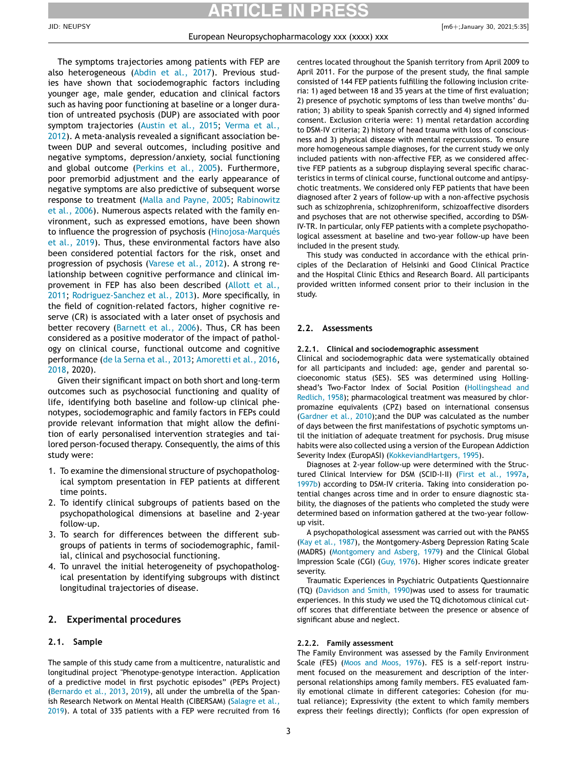European Neuropsychopharmacology xxx (xxxx) xxx

The symptoms trajectories among patients with FEP are also heterogeneous [\(Abdin](#page-15-0) et al., 2017). Previous studies have shown that sociodemographic factors including younger age, male gender, education and clinical factors such as having poor functioning at baseline or a longer duration of untreated psychosis (DUP) are associated with poor symptom trajectories [\(Austin](#page-15-0) et al., 2015; Verma et al., 2012). A [meta-analysis](#page-17-0) revealed a significant association between DUP and several outcomes, including positive and negative symptoms, depression/anxiety, social functioning and global outcome [\(Perkins](#page-16-0) et al., 2005). Furthermore, poor premorbid adjustment and the early appearance of negative symptoms are also predictive of subsequent worse response to treatment (Malla and [Payne,](#page-16-0) 2005; [Rabinowitz](#page-16-0) et al., 2006). Numerous aspects related with the family environment, such as expressed emotions, have been shown to influence the progression of psychosis [\(Hinojosa-Marqués](#page-16-0) et al., 2019). Thus, these environmental factors have also been considered potential factors for the risk, onset and progression of psychosis [\(Varese](#page-17-0) et al., 2012). A strong relationship between cognitive performance and clinical improvement in FEP has also been described (Allott et al., 2011; [Rodriguez-Sanchez](#page-15-0) et al., 2013). More specifically, in the field of cognition-related factors, higher cognitive reserve (CR) is associated with a later onset of psychosis and better recovery [\(Barnett](#page-15-0) et al., 2006). Thus, CR has been considered as a positive moderator of the impact of pathology on clinical course, functional outcome and cognitive performance (de la [Serna](#page-15-0) et al., 2013; [Amoretti](#page-15-0) et al., 2016, [2018,](#page-15-0) 2020).

Given their significant impact on both short and long-term outcomes such as psychosocial functioning and quality of life, identifying both baseline and follow-up clinical phenotypes, sociodemographic and family factors in FEPs could provide relevant information that might allow the definition of early personalised intervention strategies and tailored person-focused therapy. Consequently, the aims of this study were:

- 1. To examine the dimensional structure of psychopathological symptom presentation in FEP patients at different time points.
- 2. To identify clinical subgroups of patients based on the psychopathological dimensions at baseline and 2-year follow-up.
- 3. To search for differences between the different subgroups of patients in terms of sociodemographic, familial, clinical and psychosocial functioning.
- 4. To unravel the initial heterogeneity of psychopathological presentation by identifying subgroups with distinct longitudinal trajectories of disease.

### **2. Experimental procedures**

#### **2.1. Sample**

The sample of this study came from a multicentre, naturalistic and longitudinal project "Phenotype-genotype interaction. Application of a predictive model in first psychotic episodes" (PEPs Project) [\(Bernardo](#page-15-0) et al., 2013, [2019\)](#page-15-0), all under the umbrella of the Spanish Research Network on Mental Health [\(CIBERSAM\)](#page-17-0) (Salagre et al., 2019). A total of 335 patients with a FEP were recruited from 16

centres located throughout the Spanish territory from April 2009 to April 2011. For the purpose of the present study, the final sample consisted of 144 FEP patients fulfilling the following inclusion criteria: 1) aged between 18 and 35 years at the time of first evaluation; 2) presence of psychotic symptoms of less than twelve months' duration; 3) ability to speak Spanish correctly and 4) signed informed consent. Exclusion criteria were: 1) mental retardation according to DSM-IV criteria; 2) history of head trauma with loss of consciousness and 3) physical disease with mental repercussions. To ensure more homogeneous sample diagnoses, for the current study we only included patients with non-affective FEP, as we considered affective FEP patients as a subgroup displaying several specific characteristics in terms of clinical course, functional outcome and antipsychotic treatments. We considered only FEP patients that have been diagnosed after 2 years of follow-up with a non-affective psychosis such as schizophrenia, schizophreniform, schizoaffective disorders and psychoses that are not otherwise specified, according to DSM-IV-TR. In particular, only FEP patients with a complete psychopathological assessment at baseline and two-year follow-up have been included in the present study.

This study was conducted in accordance with the ethical principles of the Declaration of Helsinki and Good Clinical Practice and the Hospital Clinic Ethics and Research Board. All participants provided written informed consent prior to their inclusion in the study.

#### **2.2. Assessments**

#### **2.2.1. Clinical and sociodemographic assessment**

Clinical and sociodemographic data were systematically obtained for all participants and included: age, gender and parental socioeconomic status (SES). SES was determined using Hollingshead's Two-Factor Index of Social Position (Hollingshead and Redlich, 1958); [pharmacological](#page-16-0) treatment was measured by chlorpromazine equivalents (CPZ) based on international consensus [\(Gardner](#page-16-0) et al., 2010);and the DUP was calculated as the number of days between the first manifestations of psychotic symptoms until the initiation of adequate treatment for psychosis. Drug misuse habits were also collected using a version of the European Addiction Severity Index (EuropASI) [\(KokkeviandHartgers,](#page-16-0) 1995).

Diagnoses at 2-year follow-up were determined with the Structured Clinical Interview for DSM (SCID-I-II) (First et al., [1997a,](#page-16-0) [1997b\)](#page-16-0) according to DSM-IV criteria. Taking into consideration potential changes across time and in order to ensure diagnostic stability, the diagnoses of the patients who completed the study were determined based on information gathered at the two-year followup visit.

A psychopathological assessment was carried out with the PANSS (Kay et al., [1987\)](#page-16-0), the Montgomery-Asberg Depression Rating Scale (MADRS) [\(Montgomery](#page-16-0) and Asberg, 1979) and the Clinical Global Impression Scale (CGI) (Guy, [1976\)](#page-16-0). Higher scores indicate greater severity.

Traumatic Experiences in Psychiatric Outpatients Questionnaire (TQ) [\(Davidson](#page-15-0) and Smith, 1990)was used to assess for traumatic experiences. In this study we used the TQ dichotomous clinical cutoff scores that differentiate between the presence or absence of significant abuse and neglect.

#### **2.2.2. Family assessment**

The Family Environment was assessed by the Family Environment Scale (FES) (Moos and [Moos,](#page-16-0) 1976). FES is a self-report instrument focused on the measurement and description of the interpersonal relationships among family members. FES evaluated family emotional climate in different categories: Cohesion (for mutual reliance); Expressivity (the extent to which family members express their feelings directly); Conflicts (for open expression of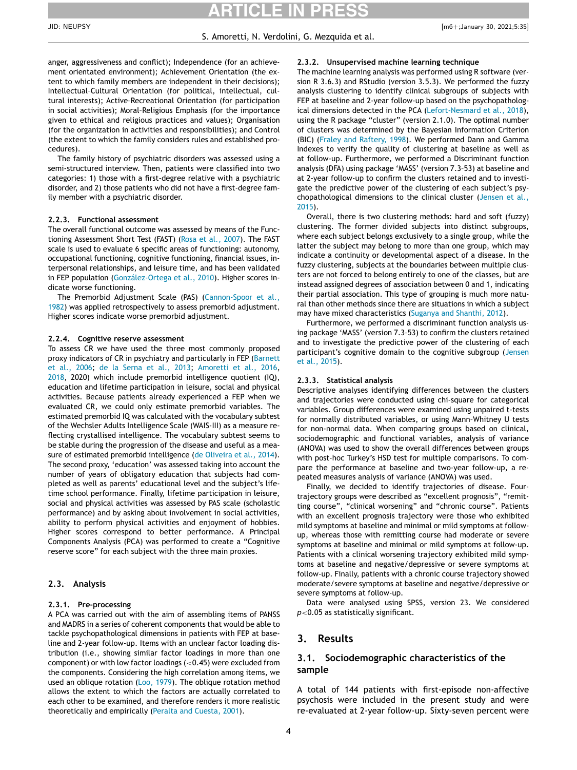anger, aggressiveness and conflict); Independence (for an achievement orientated environment); Achievement Orientation (the extent to which family members are independent in their decisions); Intellectual–Cultural Orientation (for political, intellectual, cultural interests); Active–Recreational Orientation (for participation in social activities); Moral–Religious Emphasis (for the importance given to ethical and religious practices and values); Organisation (for the organization in activities and responsibilities); and Control (the extent to which the family considers rules and established procedures).

The family history of psychiatric disorders was assessed using a semi-structured interview. Then, patients were classified into two categories: 1) those with a first-degree relative with a psychiatric disorder, and 2) those patients who did not have a first-degree family member with a psychiatric disorder.

#### **2.2.3. Functional assessment**

The overall functional outcome was assessed by means of the Functioning Assessment Short Test (FAST) (Rosa et al., [2007\)](#page-16-0). The FAST scale is used to evaluate 6 specific areas of functioning: autonomy, occupational functioning, cognitive functioning, financial issues, interpersonal relationships, and leisure time, and has been validated in FEP population [\(González-Ortega](#page-16-0) et al., 2010). Higher scores indicate worse functioning.

The Premorbid Adjustment Scale (PAS) (Cannon-Spoor et al., 1982) was applied [retrospectively](#page-15-0) to assess premorbid adjustment. Higher scores indicate worse premorbid adjustment.

#### **2.2.4. Cognitive reserve assessment**

To assess CR we have used the three most commonly proposed proxy indicators of CR in psychiatry and [particularly](#page-15-0) in FEP (Barnett et al., 2006; de la [Serna](#page-15-0) et al., 2013; [Amoretti](#page-15-0) et al., 2016, [2018,](#page-15-0) 2020) which include premorbid intelligence quotient (IQ), education and lifetime participation in leisure, social and physical activities. Because patients already experienced a FEP when we evaluated CR, we could only estimate premorbid variables. The estimated premorbid IQ was calculated with the vocabulary subtest of the Wechsler Adults Intelligence Scale (WAIS-III) as a measure reflecting crystallised intelligence. The vocabulary subtest seems to be stable during the progression of the disease and useful as a measure of estimated premorbid intelligence (de [Oliveira](#page-16-0) et al., 2014). The second proxy, 'education' was assessed taking into account the number of years of obligatory education that subjects had completed as well as parents' educational level and the subject's lifetime school performance. Finally, lifetime participation in leisure, social and physical activities was assessed by PAS scale (scholastic performance) and by asking about involvement in social activities, ability to perform physical activities and enjoyment of hobbies. Higher scores correspond to better performance. A Principal Components Analysis (PCA) was performed to create a "Cognitive reserve score" for each subject with the three main proxies.

#### **2.3. Analysis**

#### **2.3.1. Pre-processing**

A PCA was carried out with the aim of assembling items of PANSS and MADRS in a series of coherent components that would be able to tackle psychopathological dimensions in patients with FEP at baseline and 2-year follow-up. Items with an unclear factor loading distribution (i.e., showing similar factor loadings in more than one component) or with low factor loadings  $(<0.45)$  were excluded from the components. Considering the high correlation among items, we used an oblique rotation (Loo, [1979\)](#page-16-0). The oblique rotation method allows the extent to which the factors are actually correlated to each other to be examined, and therefore renders it more realistic theoretically and empirically (Peralta and [Cuesta,](#page-16-0) 2001).

#### **2.3.2. Unsupervised machine learning technique**

The machine learning analysis was performed using R software (version R 3.6.3) and RStudio (version 3.5.3). We performed the fuzzy analysis clustering to identify clinical subgroups of subjects with FEP at baseline and 2-year follow-up based on the psychopathological dimensions detected in the PCA [\(Lefort-Nesmard](#page-16-0) et al., 2018), using the R package "cluster" (version 2.1.0). The optimal number of clusters was determined by the Bayesian Information Criterion (BIC) (Fraley and [Raftery,](#page-16-0) 1998). We performed Dann and Gamma Indexes to verify the quality of clustering at baseline as well as at follow-up. Furthermore, we performed a Discriminant function analysis (DFA) using package 'MASS' (version 7.3–53) at baseline and at 2-year follow-up to confirm the clusters retained and to investigate the predictive power of the clustering of each subject's psy[chopathological](#page-16-0) dimensions to the clinical cluster (Jensen et al., 2015).

Overall, there is two clustering methods: hard and soft (fuzzy) clustering. The former divided subjects into distinct subgroups, where each subject belongs exclusively to a single group, while the latter the subject may belong to more than one group, which may indicate a continuity or developmental aspect of a disease. In the fuzzy clustering, subjects at the boundaries between multiple clusters are not forced to belong entirely to one of the classes, but are instead assigned degrees of association between 0 and 1, indicating their partial association. This type of grouping is much more natural than other methods since there are situations in which a subject may have mixed characteristics [\(Suganya](#page-17-0) and Shanthi, 2012).

Furthermore, we performed a discriminant function analysis using package 'MASS' (version 7.3–53) to confirm the clusters retained and to investigate the predictive power of the clustering of each [participant's](#page-16-0) cognitive domain to the cognitive subgroup (Jensen et al., 2015).

#### **2.3.3. Statistical analysis**

Descriptive analyses identifying differences between the clusters and trajectories were conducted using chi-square for categorical variables. Group differences were examined using unpaired t-tests for normally distributed variables, or using Mann–Whitney U tests for non-normal data. When comparing groups based on clinical, sociodemographic and functional variables, analysis of variance (ANOVA) was used to show the overall differences between groups with post-hoc Turkey's HSD test for multiple comparisons. To compare the performance at baseline and two-year follow-up, a repeated measures analysis of variance (ANOVA) was used.

Finally, we decided to identify trajectories of disease. Fourtrajectory groups were described as "excellent prognosis", "remitting course", "clinical worsening" and "chronic course". Patients with an excellent prognosis trajectory were those who exhibited mild symptoms at baseline and minimal or mild symptoms at followup, whereas those with remitting course had moderate or severe symptoms at baseline and minimal or mild symptoms at follow-up. Patients with a clinical worsening trajectory exhibited mild symptoms at baseline and negative/depressive or severe symptoms at follow-up. Finally, patients with a chronic course trajectory showed moderate/severe symptoms at baseline and negative/depressive or severe symptoms at follow-up.

Data were analysed using SPSS, version 23. We considered *p*<0.05 as statistically significant.

### **3. Results**

### **3.1. Sociodemographic characteristics of the sample**

A total of 144 patients with first-episode non-affective psychosis were included in the present study and were re-evaluated at 2-year follow-up. Sixty-seven percent were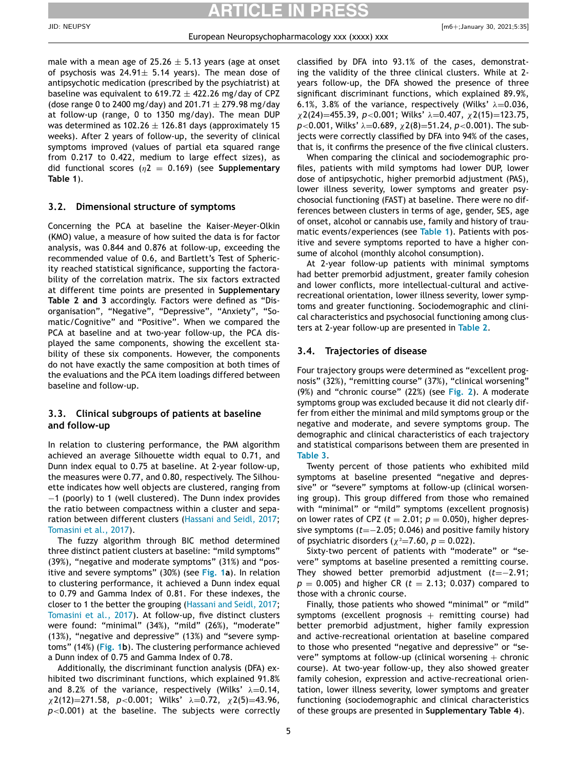European Neuropsychopharmacology xxx (xxxx) xxx

male with a mean age of 25.26  $\pm$  5.13 years (age at onset of psychosis was  $24.91 \pm 5.14$  years). The mean dose of antipsychotic medication (prescribed by the psychiatrist) at baseline was equivalent to 619.72  $\pm$  422.26 mg/day of CPZ (dose range 0 to 2400 mg/day) and 201.71  $\pm$  279.98 mg/day at follow-up (range, 0 to 1350 mg/day). The mean DUP was determined as 102.26  $\pm$  126.81 days (approximately 15 weeks). After 2 years of follow-up, the severity of clinical symptoms improved (values of partial eta squared range from 0.217 to 0.422, medium to large effect sizes), as did functional scores  $(\eta_2 = 0.169)$  (see **Supplementary Table 1**).

### **3.2. Dimensional structure of symptoms**

Concerning the PCA at baseline the Kaiser-Meyer-Olkin (KMO) value, a measure of how suited the data is for factor analysis, was 0.844 and 0.876 at follow-up, exceeding the recommended value of 0.6, and Bartlett's Test of Sphericity reached statistical significance, supporting the factorability of the correlation matrix. The six factors extracted at different time points are presented in **Supplementary Table 2 and 3** accordingly. Factors were defined as "Disorganisation", "Negative", "Depressive", "Anxiety", "Somatic/Cognitive" and "Positive". When we compared the PCA at baseline and at two-year follow-up, the PCA displayed the same components, showing the excellent stability of these six components. However, the components do not have exactly the same composition at both times of the evaluations and the PCA item loadings differed between baseline and follow-up.

## **3.3. Clinical subgroups of patients at baseline and follow-up**

In relation to clustering performance, the PAM algorithm achieved an average Silhouette width equal to 0.71, and Dunn index equal to 0.75 at baseline. At 2-year follow-up, the measures were 0.77, and 0.80, respectively. The Silhouette indicates how well objects are clustered, ranging from −1 (poorly) to 1 (well clustered). The Dunn index provides the ratio between compactness within a cluster and separation between different clusters [\(Hassani](#page-16-0) and Seidl, 2017; [Tomasini](#page-17-0) et al., 2017).

The fuzzy algorithm through BIC method determined three distinct patient clusters at baseline: "mild symptoms" (39%), "negative and moderate symptoms" (31%) and "positive and severe symptoms" (30%) (see **[Fig.](#page-5-0) 1a**). In relation to clustering performance, it achieved a Dunn index equal to 0.79 and Gamma Index of 0.81. For these indexes, the closer to 1 the better the grouping [\(Hassani](#page-16-0) and Seidl, 2017; [Tomasini](#page-17-0) et al., 2017). At follow-up, five distinct clusters were found: "minimal" (34%), "mild" (26%), "moderate" (13%), "negative and depressive" (13%) and "severe symptoms" (14%) (**[Fig.](#page-5-0) 1b**). The clustering performance achieved a Dunn index of 0.75 and Gamma Index of 0.78.

Additionally, the discriminant function analysis (DFA) exhibited two discriminant functions, which explained 91.8% and 8.2% of the variance, respectively (Wilks'  $\lambda=0.14$ ,  $\chi$ 2(12)=271.58, *p*<0.001; Wilks'  $\lambda$ =0.72,  $\chi$ 2(5)=43.96, *p*<0.001) at the baseline. The subjects were correctly classified by DFA into 93.1% of the cases, demonstrating the validity of the three clinical clusters. While at 2 years follow-up, the DFA showed the presence of three significant discriminant functions, which explained 89.9%, 6.1%, 3.8% of the variance, respectively (Wilks'  $\lambda = 0.036$ , χ2(24)=455.39, *p*<0.001; Wilks' λ=0.407, χ2(15)=123.75, *p*<0.001, Wilks' λ=0.689, χ2(8)=51.24, *p*<0.001). The subjects were correctly classified by DFA into 94% of the cases, that is, it confirms the presence of the five clinical clusters.

When comparing the clinical and sociodemographic profiles, patients with mild symptoms had lower DUP, lower dose of antipsychotic, higher premorbid adjustment (PAS), lower illness severity, lower symptoms and greater psychosocial functioning (FAST) at baseline. There were no differences between clusters in terms of age, gender, SES, age of onset, alcohol or cannabis use, family and history of traumatic events/experiences (see **[Table](#page-6-0) 1**). Patients with positive and severe symptoms reported to have a higher consume of alcohol (monthly alcohol consumption).

At 2-year follow-up patients with minimal symptoms had better premorbid adjustment, greater family cohesion and lower conflicts, more intellectual-cultural and activerecreational orientation, lower illness severity, lower symptoms and greater functioning. Sociodemographic and clinical characteristics and psychosocial functioning among clusters at 2-year follow-up are presented in **[Table](#page-8-0) 2**.

### **3.4. Trajectories of disease**

Four trajectory groups were determined as "excellent prognosis" (32%), "remitting course" (37%), "clinical worsening" (9%) and "chronic course" (22%) (see **[Fig.](#page-5-0) 2**). A moderate symptoms group was excluded because it did not clearly differ from either the minimal and mild symptoms group or the negative and moderate, and severe symptoms group. The demographic and clinical characteristics of each trajectory and statistical comparisons between them are presented in **[Table](#page-10-0) 3**.

Twenty percent of those patients who exhibited mild symptoms at baseline presented "negative and depressive" or "severe" symptoms at follow-up (clinical worsening group). This group differed from those who remained with "minimal" or "mild" symptoms (excellent prognosis) on lower rates of CPZ  $(t = 2.01; p = 0.050)$ , higher depressive symptoms (*t*=−2.05; 0.046) and positive family history of psychiatric disorders ( $\chi^2$ =7.60,  $p$  = 0.022).

Sixty-two percent of patients with "moderate" or "severe" symptoms at baseline presented a remitting course. They showed better premorbid adjustment (*t*=−2.91;  $p = 0.005$ ) and higher CR ( $t = 2.13$ ; 0.037) compared to those with a chronic course.

Finally, those patients who showed "minimal" or "mild" symptoms (excellent prognosis  $+$  remitting course) had better premorbid adjustment, higher family expression and active-recreational orientation at baseline compared to those who presented "negative and depressive" or "severe" symptoms at follow-up (clinical worsening  $+$  chronic course). At two-year follow-up, they also showed greater family cohesion, expression and active-recreational orientation, lower illness severity, lower symptoms and greater functioning (sociodemographic and clinical characteristics of these groups are presented in **Supplementary Table 4**).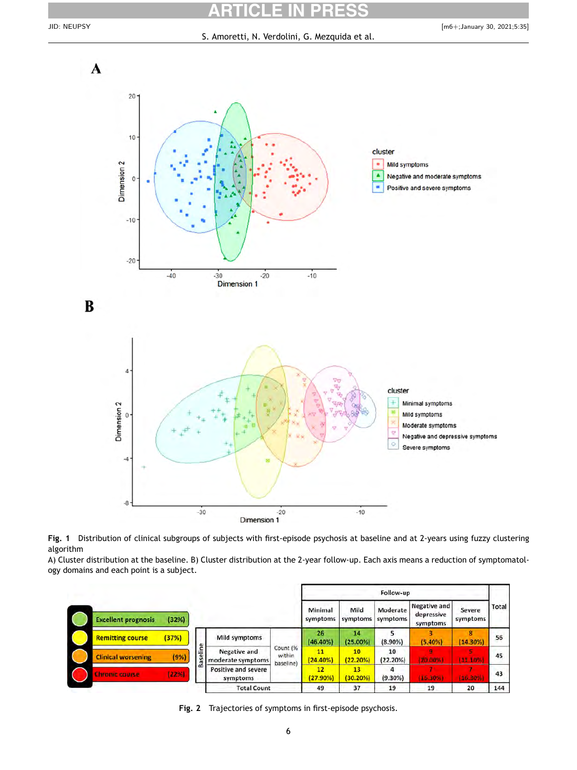## S. Amoretti, N. Verdolini, G. Mezquida et al.

<span id="page-5-0"></span>JID: NEUPSY [m6+;January 30, 2021;5:35]





A) Cluster distribution at the baseline. B) Cluster distribution at the 2-year follow-up. Each axis means a reduction of symptomatology domains and each point is a subject.

|                            |        |          |                                   |                                 | Follow-up           |                  |                      |                                        |                    |       |  |
|----------------------------|--------|----------|-----------------------------------|---------------------------------|---------------------|------------------|----------------------|----------------------------------------|--------------------|-------|--|
| <b>Excellent prognosis</b> | (32%)  |          |                                   |                                 | Minimal<br>symptoms | Mild<br>symptoms | Moderate<br>symptoms | Negative and<br>depressive<br>symptoms | Severe<br>symptoms | Total |  |
| <b>Remitting course</b>    | (37%)  | $\omega$ | Mild symptoms                     |                                 | 26<br>(46.40%)      | 14<br>(25.00%)   | $(8.90\%)$           | (5.40%)                                | $(14.30\%)$        | 56    |  |
| <b>Clinical worsening</b>  | (9%)   | ÷<br>ത   | Negative and<br>moderate symptoms | Count (%<br>within<br>baseline) | 11<br>(24.40%)      | 10<br>(22.20%)   | 10<br>(22.20%)       | ۰<br>(20.00%)                          | (11.10%)           | 45    |  |
| Chranic course             | (22%1) | ∞        | Positive and severe<br>symptoms   |                                 | 12<br>(27.90%)      | 13<br>(30.20%)   | Δ<br>$(9.30\%)$      | $(16.30\%)$                            | $(16.30\%)$        | 43    |  |
|                            |        |          | <b>Total Count</b>                |                                 | 49                  | 37               | 19                   | 19                                     | 20                 | 144   |  |

**Fig. 2** Trajectories of symptoms in first-episode psychosis.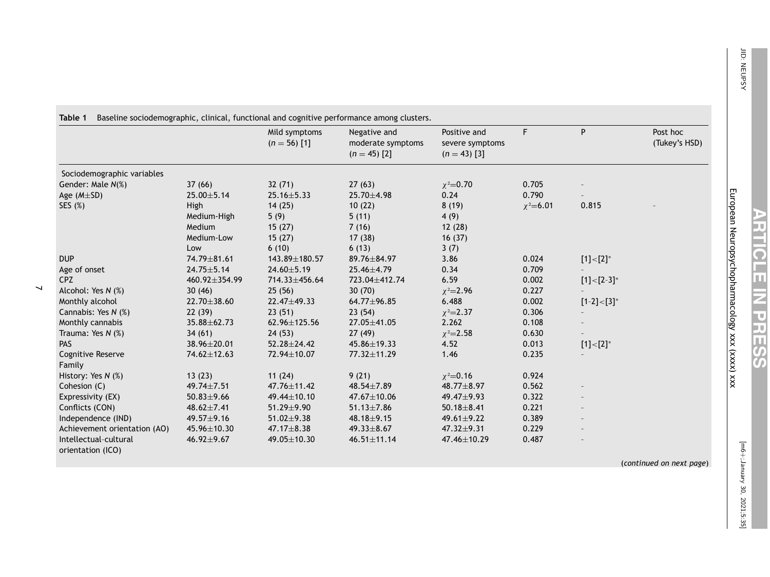European

Neuropsychopharmacology

xxx

(xxxx)

xxx

|                                            |                     | Mild symptoms<br>$(n = 56)$ [1] | Negative and<br>moderate symptoms<br>$(n = 45)$ [2] | Positive and<br>severe symptoms<br>$(n = 43)$ [3] | F              | P               | Post hoc<br>(Tukey's HSD) |
|--------------------------------------------|---------------------|---------------------------------|-----------------------------------------------------|---------------------------------------------------|----------------|-----------------|---------------------------|
| Sociodemographic variables                 |                     |                                 |                                                     |                                                   |                |                 |                           |
| Gender: Male N(%)                          | 37(66)              | 32(71)                          | 27(63)                                              | $x^2 = 0.70$                                      | 0.705          |                 |                           |
| Age $(M\pm SD)$                            | 25.00±5.14          | $25.16 \pm 5.33$                | 25.70±4.98                                          | 0.24                                              | 0.790          |                 |                           |
| SES $(\%)$                                 | High                | 14(25)                          | 10(22)                                              | 8(19)                                             | $\chi^2$ =6.01 | 0.815           |                           |
|                                            | Medium-High         | 5(9)                            | 5(11)                                               | 4(9)                                              |                |                 |                           |
|                                            | Medium              | 15(27)                          | 7(16)                                               | 12(28)                                            |                |                 |                           |
|                                            | Medium-Low          | 15(27)                          | 17(38)                                              | 16(37)                                            |                |                 |                           |
|                                            | Low                 | 6(10)                           | 6(13)                                               | 3(7)                                              |                |                 |                           |
| <b>DUP</b>                                 | 74.79±81.61         | 143.89±180.57                   | 89.76±84.97                                         | 3.86                                              | 0.024          | $[1] < [2]^*$   |                           |
| Age of onset                               | $24.75 \pm 5.14$    | 24.60±5.19                      | 25.46±4.79                                          | 0.34                                              | 0.709          |                 |                           |
| CPZ                                        | $460.92 \pm 354.99$ | 714.33±456.64                   | 723.04±412.74                                       | 6.59                                              | 0.002          | $[1] < [2-3]$ * |                           |
| Alcohol: Yes N (%)                         | 30(46)              | 25(56)                          | 30(70)                                              | $x^2 = 2.96$                                      | 0.227          |                 |                           |
| Monthly alcohol                            | 22.70±38.60         | $22.47 \pm 49.33$               | $64.77 \pm 96.85$                                   | 6.488                                             | 0.002          | $[1-2] < [3]^*$ |                           |
| Cannabis: Yes N (%)                        | 22(39)              | 23(51)                          | 23(54)                                              | $x^2 = 2.37$                                      | 0.306          |                 |                           |
| Monthly cannabis                           | 35.88±62.73         | $62.96 \pm 125.56$              | 27.05 ±41.05                                        | 2.262                                             | 0.108          |                 |                           |
| Trauma: Yes $N$ (%)                        | 34(61)              | 24(53)                          | 27(49)                                              | $x^2 = 2.58$                                      | 0.630          |                 |                           |
| PAS                                        | 38.96±20.01         | $52.28 \pm 24.42$               | $45.86 \pm 19.33$                                   | 4.52                                              | 0.013          | $[1] < [2]^*$   |                           |
| Cognitive Reserve                          | 74.62±12.63         | 72.94±10.07                     | 77.32±11.29                                         | 1.46                                              | 0.235          |                 |                           |
| Family                                     |                     |                                 |                                                     |                                                   |                |                 |                           |
| History: Yes N (%)                         | 13(23)              | 11(24)                          | 9(21)                                               | $\chi^2 = 0.16$                                   | 0.924          |                 |                           |
| Cohesion (C)                               | $49.74 \pm 7.51$    | $47.76 \pm 11.42$               | $48.54 \pm 7.89$                                    | $48.77 \pm 8.97$                                  | 0.562          |                 |                           |
| Expressivity (EX)                          | $50.83 \pm 9.66$    | 49.44±10.10                     | 47.67 $\pm$ 10.06                                   | 49.47±9.93                                        | 0.322          |                 |                           |
| Conflicts (CON)                            | $48.62 \pm 7.41$    | 51.29±9.90                      | $51.13 \pm 7.86$                                    | $50.18 \pm 8.41$                                  | 0.221          |                 |                           |
| Independence (IND)                         | 49.57±9.16          | $51.02 \pm 9.38$                | 48.18±9.15                                          | 49.61±9.22                                        | 0.389          |                 |                           |
| Achievement orientation (AO)               | 45.96±10.30         | $47.17 \pm 8.38$                | 49.33±8.67                                          | $47.32 \pm 9.31$                                  | 0.229          |                 |                           |
| Intellectual-cultural<br>orientation (ICO) | 46.92±9.67          | $49.05 \pm 10.30$               | 46.51±11.14                                         | 47.46±10.29                                       | 0.487          |                 |                           |

<span id="page-6-0"></span>**Table 1** Baseline sociodemographic, clinical, functional and cognitive performance among clusters.

 $\overline{\phantom{0}}$ 

(*continued on next page*)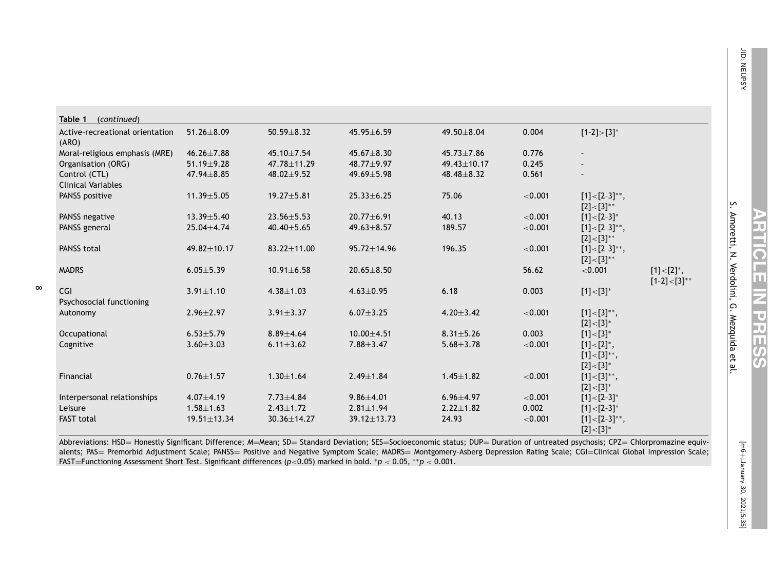| Table 1<br>(continued)                   |                   |                   |                  |                   |            |                                          |                                      |
|------------------------------------------|-------------------|-------------------|------------------|-------------------|------------|------------------------------------------|--------------------------------------|
| Active-recreational orientation<br>(ARO) | $51.26 \pm 8.09$  | $50.59 \pm 8.32$  | 45.95±6.59       | 49.50 ± 8.04      | 0.004      | $[1-2] > [3]^*$                          |                                      |
| Moral-religious emphasis (MRE)           | 46.26±7.88        | 45.10±7.54        | $45.67 \pm 8.30$ | 45.73±7.86        | 0.776      |                                          |                                      |
| Organisation (ORG)                       | $51.19 \pm 9.28$  | $47.78 \pm 11.29$ | $48.77 \pm 9.97$ | $49.43 \pm 10.17$ | 0.245      |                                          |                                      |
| Control (CTL)                            | $47.94 \pm 8.85$  | $48.02 \pm 9.52$  | $49.69 \pm 5.98$ | $48.48 \pm 8.32$  | 0.561      |                                          |                                      |
| Clinical Variables                       |                   |                   |                  |                   |            |                                          |                                      |
| PANSS positive                           | $11.39 \pm 5.05$  | $19.27 \pm 5.81$  | $25.33 \pm 6.25$ | 75.06             | < 0.001    | $[1] < [2-3]^{**}$ ,<br>$[2] < [3]^{**}$ |                                      |
| <b>PANSS negative</b>                    | $13.39 \pm 5.40$  | $23.56 \pm 5.53$  | $20.77 \pm 6.91$ | 40.13             | < 0.001    | $[1] < [2-3]$ *                          |                                      |
| PANSS general                            | 25.04±4.74        | 40.40±5.65        | 49.63±8.57       | 189.57            | < 0.001    | $[1] < [2-3]^{**}$ ,<br>$[2] < [3]^{**}$ |                                      |
| PANSS total                              | 49.82±10.17       | 83.22±11.00       | 95.72±14.96      | 196.35            | < 0.001    | $[1] < [2-3]^{**}$ ,<br>$[2] < [3]^{**}$ |                                      |
| MADRS                                    | $6.05 \pm 5.39$   | $10.91 \pm 6.58$  | $20.65 \pm 8.50$ |                   | 56.62      | < 0.001                                  | $[1] < [2]^*,$<br>$[1-2] < [3]^{**}$ |
| CGI<br>Psychosocial functioning          | $3.91 \pm 1.10$   | $4.38 \pm 1.03$   | $4.63 \pm 0.95$  | 6.18              | 0.003      | $[1] < [3]^*$                            |                                      |
| Autonomy                                 | $2.96 \pm 2.97$   | $3.91 \pm 3.37$   | $6.07 + 3.25$    | $4.20 \pm 3.42$   | < 0.001    | $[1] < [3]^{**}$ ,<br>$[2] < [3]^*$      |                                      |
| Occupational                             | $6.53 \pm 5.79$   | $8.89 \pm 4.64$   | $10.00 + 4.51$   | $8.31 \pm 5.26$   | 0.003      | $[1] < [3]^*$                            |                                      |
| Cognitive                                | $3.60 \pm 3.03$   | $6.11 \pm 3.62$   | $7.88 \pm 3.47$  | $5.68 \pm 3.78$   | ${<}0.001$ | $[1]{\leq}[2]^*,$                        |                                      |
|                                          |                   |                   |                  |                   |            | $[1] < [3]^{**}$ ,                       |                                      |
|                                          |                   |                   |                  |                   |            | $[2] < [3]^*$                            |                                      |
| Financial                                | $0.76 \pm 1.57$   | $1.30 \pm 1.64$   | $2.49 \pm 1.84$  | $1.45 \pm 1.82$   | ${<}0.001$ | $[1] < [3]^{**}$ ,                       |                                      |
|                                          |                   |                   |                  |                   |            | $[2] < [3]^*$                            |                                      |
| Interpersonal relationships              | $4.07 + 4.19$     | $7.73 \pm 4.84$   | $9.86 \pm 4.01$  | $6.96 \pm 4.97$   | < 0.001    | $[1] < [2-3]$ *                          |                                      |
| Leisure                                  | $1.58 + 1.63$     | $2.43 \pm 1.72$   | $2.81 \pm 1.94$  | $2.22 \pm 1.82$   | 0.002      | $[1] < [2-3]^*$                          |                                      |
| <b>FAST</b> total                        | $19.51 \pm 13.34$ | 30.36±14.27       | 39.12±13.73      | 24.93             | < 0.001    | $[1] < [2-3]^{**}$ ,                     |                                      |
|                                          |                   |                   |                  |                   |            | $[2] < [3]^*$                            |                                      |

 $\infty$ 

Abbreviations: HSD<sup>=</sup> Honestly Significant Difference; *M*=Mean; SD<sup>=</sup> Standard Deviation; SES=Socioeconomic status; DUP<sup>=</sup> Duration of untreated psychosis; CPZ<sup>=</sup> Chlorpromazine equivalents; PAS= Premorbid Adjustment Scale; PANSS= Positive and Negative Symptom Scale; MADRS= Montgomery-Asberg Depression Rating Scale; CGI=Clinical Global Impression Scale; FAST=Functioning Assessment Short Test. Significant differences (*p*<0.05) marked in bold. <sup>∗</sup>*p* <sup>&</sup>lt; 0.05, ∗∗*p* <sup>&</sup>lt; 0.001.

et al.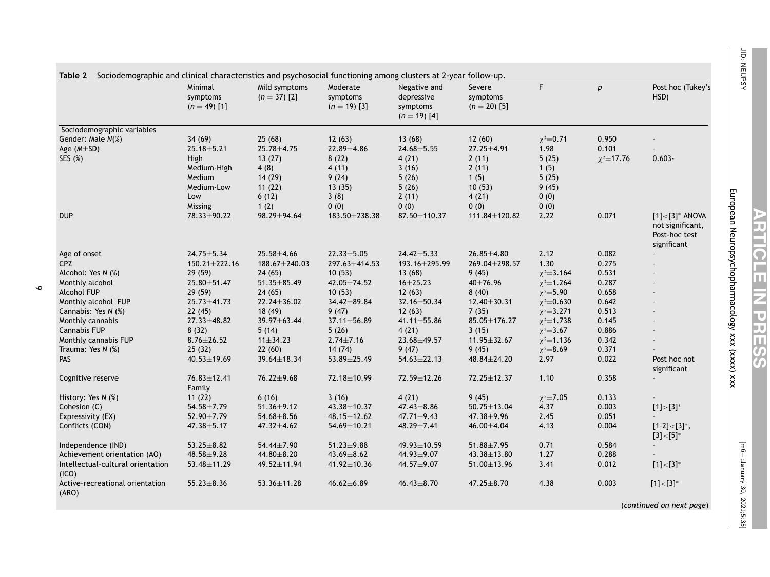JID: NEUPSY

European Neuropsychopharmacology xxx (xxxx) xxx **ARTICLE IZ PRESS**

|                                            | Minimal<br>symptoms<br>$(n = 49)$ [1] | Mild symptoms<br>$(n = 37)$ [2] | Moderate<br>symptoms<br>$(n = 19)$ [3] | Negative and<br>depressive<br>symptoms<br>$(n = 19)$ [4] | Severe<br>symptoms<br>$(n = 20)$ [5] | F.               | $\boldsymbol{p}$ | Post hoc (Tukey's<br>HSD)                                               |
|--------------------------------------------|---------------------------------------|---------------------------------|----------------------------------------|----------------------------------------------------------|--------------------------------------|------------------|------------------|-------------------------------------------------------------------------|
| Sociodemographic variables                 |                                       |                                 |                                        |                                                          |                                      |                  |                  |                                                                         |
| Gender: Male N(%)                          | 34(69)                                | 25(68)                          | 12(63)                                 | 13(68)                                                   | 12(60)                               | $\chi^2 = 0.71$  | 0.950            |                                                                         |
| Age $(M \pm SD)$                           | $25.18 + 5.21$                        | 25.78±4.75                      | 22.89±4.86                             | $24.68 \pm 5.55$                                         | 27.25±4.91                           | 1.98             | 0.101            |                                                                         |
| SES (%)                                    | High                                  | 13(27)                          | 8(22)                                  | 4(21)                                                    | 2(11)                                | 5(25)            | $x^2 = 17.76$    | $0.603 -$                                                               |
|                                            | Medium-High                           | 4(8)                            | 4(11)                                  | 3(16)                                                    | 2(11)                                | 1(5)             |                  |                                                                         |
|                                            | Medium                                | 14 (29)                         | 9(24)                                  | 5(26)                                                    | 1(5)                                 | 5(25)            |                  |                                                                         |
|                                            | Medium-Low                            | 11(22)                          | 13(35)                                 | 5(26)                                                    | 10(53)                               | 9(45)            |                  |                                                                         |
|                                            | Low                                   | 6(12)                           | 3(8)                                   | 2(11)                                                    | 4(21)                                | 0(0)             |                  |                                                                         |
|                                            | Missing                               | 1(2)                            | 0(0)                                   | 0(0)                                                     | 0(0)                                 | 0(0)             |                  |                                                                         |
| <b>DUP</b>                                 | 78.33±90.22                           | 98.29±94.64                     | 183.50±238.38                          | 87.50±110.37                                             | 111.84±120.82                        | 2.22             | 0.071            | $[1] < [3]^*$ ANOVA<br>not significant,<br>Post-hoc test<br>significant |
| Age of onset                               | 24.75±5.34                            | $25.58 \pm 4.66$                | $22.33 \pm 5.05$                       | $24.42 \pm 5.33$                                         | 26.85±4.80                           | 2.12             | 0.082            |                                                                         |
| CPZ                                        | $150.21 \pm 222.16$                   | 188.67±240.03                   | 297.63±414.53                          | 193.16±295.99                                            | 269.04±298.57                        | 1.30             | 0.275            |                                                                         |
| Alcohol: Yes N (%)                         | 29 (59)                               | 24(65)                          | 10(53)                                 | 13(68)                                                   | 9(45)                                | $x^2 = 3.164$    | 0.531            |                                                                         |
| Monthly alcohol                            | 25.80±51.47                           | 51.35±85.49                     | 42.05±74.52                            | $16 + 25.23$                                             | 40±76.96                             | $x^2 = 1.264$    | 0.287            |                                                                         |
| <b>Alcohol FUP</b>                         | 29 (59)                               | 24(65)                          | 10(53)                                 | 12(63)                                                   | 8(40)                                | $x^2 = 5.90$     | 0.658            |                                                                         |
| Monthly alcohol FUP                        | 25.73±41.73                           | 22.24±36.02                     | 34.42±89.84                            | 32.16±50.34                                              | 12.40±30.31                          | $\chi^2 = 0.630$ | 0.642            |                                                                         |
| Cannabis: Yes N (%)                        | 22(45)                                | 18 (49)                         | 9(47)                                  | 12(63)                                                   | 7(35)                                | $x^2 = 3.271$    | 0.513            |                                                                         |
| Monthly cannabis                           | 27.33±48.82                           | 39.97±63.44                     | 37.11±56.89                            | 41.11±55.86                                              | 85.05±176.27                         | $\chi^2$ =1.738  | 0.145            |                                                                         |
| <b>Cannabis FUP</b>                        | 8(32)                                 | 5(14)                           | 5(26)                                  | 4(21)                                                    | 3(15)                                | $\chi^2 = 3.67$  | 0.886            |                                                                         |
| Monthly cannabis FUP                       | $8.76 \pm 26.52$                      | $11 \pm 34.23$                  | $2.74 \pm 7.16$                        | $23.68 \pm 49.57$                                        | 11.95±32.67                          | $x^2 = 1.136$    | 0.342            |                                                                         |
| Trauma: Yes N (%)                          | 25(32)                                | 22(60)                          | 14(74)                                 | 9(47)                                                    | 9(45)                                | $\chi^2 = 8.69$  | 0.371            |                                                                         |
| PAS                                        | 40.53±19.69                           | 39.64±18.34                     | 53.89±25.49                            | $54.63 \pm 22.13$                                        | 48.84±24.20                          | 2.97             | 0.022            | Post hoc not<br>significant                                             |
| Cognitive reserve                          | 76.83±12.41<br>Family                 | 76.22±9.68                      | 72.18±10.99                            | 72.59±12.26                                              | 72.25±12.37                          | 1.10             | 0.358            |                                                                         |
| History: Yes N (%)                         | 11(22)                                | 6(16)                           | 3(16)                                  | 4(21)                                                    | 9(45)                                | $\chi^2 = 7.05$  | 0.133            |                                                                         |
| Cohesion (C)                               | 54.58±7.79                            | 51.36±9.12                      | 43.38±10.37                            | $47.43 \pm 8.86$                                         | 50.75±13.04                          | 4.37             | 0.003            | $[1] > [3]^*$                                                           |
| Expressivity (EX)                          | 52.90±7.79                            | $54.68 \pm 8.56$                | 48.15±12.62                            | 47.71±9.43                                               | 47.38±9.96                           | 2.45             | 0.051            |                                                                         |
| Conflicts (CON)                            | 47.38±5.17                            | $47.32 \pm 4.62$                | 54.69±10.21                            | 48.29±7.41                                               | 46.00 ± 4.04                         | 4.13             | 0.004            | $[1-2] < [3]^*,$<br>$[3] < [5]^*$                                       |
| Independence (IND)                         | $53.25 \pm 8.82$                      | 54.44±7.90                      | $51.23 \pm 9.88$                       | 49.93±10.59                                              | 51.88±7.95                           | 0.71             | 0.584            |                                                                         |
| Achievement orientation (AO)               | 48.58±9.28                            | 44.80±8.20                      | $43.69 \pm 8.62$                       | 44.93±9.07                                               | 43.38±13.80                          | 1.27             | 0.288            |                                                                         |
| Intellectual-cultural orientation<br>(ICO) | 53.48±11.29                           | 49.52±11.94                     | 41.92±10.36                            | 44.57±9.07                                               | 51.00±13.96                          | 3.41             | 0.012            | $[1] < [3]^*$                                                           |
| Active-recreational orientation<br>(ARO)   | $55.23 \pm 8.36$                      | 53.36±11.28                     | $46.62 \pm 6.89$                       | $46.43 \pm 8.70$                                         | $47.25 \pm 8.70$                     | 4.38             | 0.003            | $[1] < [3]^*$                                                           |
|                                            |                                       |                                 |                                        |                                                          |                                      |                  |                  | (continued on next page)                                                |

#### <span id="page-8-0"></span>**Table 2** Sociodemographic and clinical characteristics and psychosocial functioning among clusters at 2-year follow-up.

 $\bullet$ 

[m6+;January 30, 2021;5:35 ]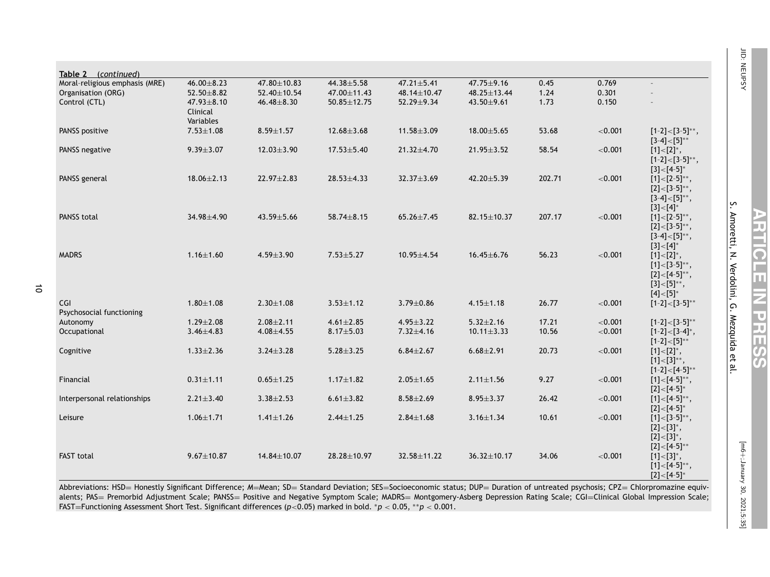| Table 2 (continued)                                                                                                                                                                                        |                                           |                  |                  |                  |                  |        |            |                                                                                                        |
|------------------------------------------------------------------------------------------------------------------------------------------------------------------------------------------------------------|-------------------------------------------|------------------|------------------|------------------|------------------|--------|------------|--------------------------------------------------------------------------------------------------------|
| Moral-religious emphasis (MRE)                                                                                                                                                                             | $46.00 \pm 8.23$                          | 47.80±10.83      | 44.38±5.58       | $47.21 \pm 5.41$ | 47.75±9.16       | 0.45   | 0.769      |                                                                                                        |
| Organisation (ORG)                                                                                                                                                                                         | $52.50 \pm 8.82$                          | 52.40±10.54      | 47.00±11.43      | 48.14±10.47      | 48.25±13.44      | 1.24   | 0.301      |                                                                                                        |
| Control (CTL)                                                                                                                                                                                              | $47.93 \pm 8.10$<br>Clinical<br>Variables | $46.48 \pm 8.30$ | 50.85±12.75      | 52.29 $\pm$ 9.34 | 43.50±9.61       | 1.73   | 0.150      |                                                                                                        |
| PANSS positive                                                                                                                                                                                             | $7.53 \pm 1.08$                           | $8.59 \pm 1.57$  | $12.68 \pm 3.68$ | $11.58 \pm 3.09$ | $18.00 \pm 5.65$ | 53.68  | < 0.001    | $[1-2] < [3-5]^{**}$ ,<br>$[3-4] < [5]^{**}$                                                           |
| PANSS negative                                                                                                                                                                                             | $9.39 \pm 3.07$                           | $12.03 \pm 3.90$ | $17.53 \pm 5.40$ | $21.32 \pm 4.70$ | $21.95 \pm 3.52$ | 58.54  | < 0.001    | $[1] < [2]^*$ ,<br>$[1-2] < [3-5]^{**}$ ,<br>$[3] < [4-5]$ *                                           |
| PANSS general                                                                                                                                                                                              | $18.06 \pm 2.13$                          | $22.97 \pm 2.83$ | $28.53 \pm 4.33$ | 32.37±3.69       | 42.20±5.39       | 202.71 | < 0.001    | $[1] < [2-5]^{**}$ ,<br>$[2] < [3-5]^{**}$ ,<br>$[3-4]{<}[5]^{**},$<br>$[3] < [4]^*$                   |
| PANSS total                                                                                                                                                                                                | 34.98±4.90                                | 43.59±5.66       | $58.74 \pm 8.15$ | $65.26 \pm 7.45$ | 82.15±10.37      | 207.17 | < 0.001    | $[1] < [2-5]^{**}$ ,<br>$[2] < [3-5]^{**}$ ,<br>$[3-4]{<}[5]^{**},$<br>$[3] < [4]$ *                   |
| <b>MADRS</b>                                                                                                                                                                                               | $1.16 \pm 1.60$                           | $4.59 \pm 3.90$  | $7.53 \pm 5.27$  | $10.95 \pm 4.54$ | $16.45 \pm 6.76$ | 56.23  | < 0.001    | $[1] < [2]^*$ ,<br>$[1] < [3-5]^{**}$ ,<br>$[2] < [4-5]^{**}$ ,<br>$[3] < [5]^{**}$ ,<br>$[4] < [5]^*$ |
| CGI<br>Psychosocial functioning                                                                                                                                                                            | $1.80 + 1.08$                             | $2.30 \pm 1.08$  | $3.53 \pm 1.12$  | $3.79 \pm 0.86$  | $4.15 \pm 1.18$  | 26.77  | ${<}0.001$ | $[1-2] < [3-5]^{**}$                                                                                   |
| Autonomy                                                                                                                                                                                                   | $1.29 \pm 2.08$                           | $2.08 \pm 2.11$  | $4.61 \pm 2.85$  | $4.95 \pm 3.22$  | $5.32 \pm 2.16$  | 17.21  | < 0.001    | $[1-2] < [3-5]^{**}$                                                                                   |
| Occupational                                                                                                                                                                                               | $3.46 \pm 4.83$                           | $4.08 + 4.55$    | $8.17 + 5.03$    | $7.32 \pm 4.16$  | $10.11 \pm 3.33$ | 10.56  | < 0.001    | $[1-2] < [3-4]^*,$<br>$[1-2] < [5]^{**}$                                                               |
| Cognitive                                                                                                                                                                                                  | $1.33 \pm 2.36$                           | $3.24 \pm 3.28$  | $5.28 + 3.25$    | $6.84 \pm 2.67$  | $6.68 \pm 2.91$  | 20.73  | < 0.001    | $[1] < [2]^*,$<br>$[1] < [3]^{**}$ ,<br>$[1-2] < [4-5]^{**}$                                           |
| Financial                                                                                                                                                                                                  | $0.31 + 1.11$                             | $0.65 \pm 1.25$  | $1.17 \pm 1.82$  | $2.05 \pm 1.65$  | $2.11 \pm 1.56$  | 9.27   | < 0.001    | $[1] < [4-5]^{**}$ ,<br>$[2] < [4-5]$ *                                                                |
| Interpersonal relationships                                                                                                                                                                                | $2.21 \pm 3.40$                           | $3.38 \pm 2.53$  | $6.61 \pm 3.82$  | $8.58 \pm 2.69$  | $8.95 \pm 3.37$  | 26.42  | < 0.001    | $[1] < [4-5]^{**}$ ,<br>$[2] < [4-5]^*$                                                                |
| Leisure                                                                                                                                                                                                    | $1.06 \pm 1.71$                           | $1.41 \pm 1.26$  | $2.44 \pm 1.25$  | $2.84 \pm 1.68$  | $3.16 \pm 1.34$  | 10.61  | < 0.001    | $[1] < [3-5]^{**}$ ,<br>$[2] < [3]^*$ ,<br>$[2]{\leq}[3]^*,$<br>$[2]{\times}[4-5]^{**}$                |
| <b>FAST</b> total<br>Abbroviations: UCD – Hangethy Gianificant Difference: M. Moan: CD – Ctandard Doviation: CEC – Cocioeconomic status: DUD – Duration of untroated pouchesis: CD7 – Chlornromazine equiv | $9.67 \pm 10.87$                          | 14.84±10.07      | 28.28±10.97      | 32.58±11.22      | 36.32±10.17      | 34.06  | < 0.001    | $[1] < [3]^*$ ,<br>$[1] < [4-5]^{**}$ ,<br>$[2] < [4-5]$ *                                             |

 $\vec{o}$ 

Abbreviations: HSD<sup>=</sup> Honestly Significant Difference; *M*=Mean; SD<sup>=</sup> Standard Deviation; SES=Socioeconomic status; DUP<sup>=</sup> Duration of untreated psychosis; CPZ<sup>=</sup> Chlorpromazine equivalents; PAS<sup>=</sup> Premorbid Adjustment Scale; PANSS<sup>=</sup> Positive and Negative Symptom Scale; MADRS<sup>=</sup> Montgomery-Asberg Depression Rating Scale; CGI=Clinical Global Impression Scale; FAST=Functioning Assessment Short Test. Significant differences (*p*<0.05) marked in bold. <sup>∗</sup>*p* <sup>&</sup>lt; 0.05, ∗∗*p* <sup>&</sup>lt; 0.001.

**ARTICLE**

**IZ** 

**PRESS**

al.

[m6+;January

30,

2021;5:35 ]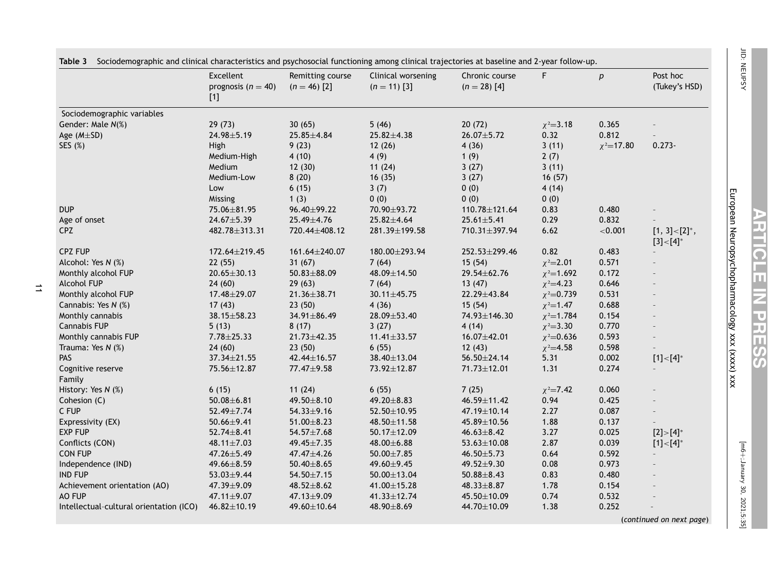|                                         | Excellent<br>prognosis ( $n = 40$ ) | Remitting course<br>$(n = 46)$ [2] | Clinical worsening<br>$(n = 11)$ [3] | Chronic course<br>$(n = 28)$ [4] | F                | p                | Post hoc<br>(Tukey's HSD)          |
|-----------------------------------------|-------------------------------------|------------------------------------|--------------------------------------|----------------------------------|------------------|------------------|------------------------------------|
|                                         | $[1]$                               |                                    |                                      |                                  |                  |                  |                                    |
| Sociodemographic variables              |                                     |                                    |                                      |                                  |                  |                  |                                    |
| Gender: Male N(%)                       | 29(73)                              | 30(65)                             | 5(46)                                | 20(72)                           | $\chi^2 = 3.18$  | 0.365            |                                    |
| Age $(M\pm SD)$                         | 24.98±5.19                          | 25.85±4.84                         | 25.82±4.38                           | $26.07 \pm 5.72$                 | 0.32             | 0.812            |                                    |
| SES (%)                                 | High                                | 9(23)                              | 12(26)                               | 4(36)                            | 3(11)            | $\chi^2$ = 17.80 | $0.273 -$                          |
|                                         | Medium-High                         | 4(10)                              | 4(9)                                 | 1(9)                             | 2(7)             |                  |                                    |
|                                         | Medium                              | 12(30)                             | 11(24)                               | 3(27)                            | 3(11)            |                  |                                    |
|                                         | Medium-Low                          | 8(20)                              | 16(35)                               | 3(27)                            | 16(57)           |                  |                                    |
|                                         | Low                                 | 6(15)                              | 3(7)                                 | 0(0)                             | 4(14)            |                  |                                    |
|                                         | Missing                             | 1(3)                               | 0(0)                                 | 0(0)                             | 0(0)             |                  |                                    |
| <b>DUP</b>                              | 75.06±81.95                         | 96.40±99.22                        | 70.90±93.72                          | 110.78±121.64                    | 0.83             | 0.480            |                                    |
| Age of onset                            | 24.67±5.39                          | 25.49±4.76                         | 25.82±4.64                           | $25.61 \pm 5.41$                 | 0.29             | 0.832            |                                    |
| CPZ                                     | 482.78±313.31                       | 720.44±408.12                      | 281.39±199.58                        | 710.31±397.94                    | 6.62             | < 0.001          | $[1, 3] < [2]^*,$<br>$[3] < [4]$ * |
| CPZ FUP                                 | 172.64±219.45                       | 161.64±240.07                      | 180.00±293.94                        | 252.53±299.46                    | 0.82             | 0.483            |                                    |
| Alcohol: Yes N (%)                      | 22(55)                              | 31(67)                             | 7(64)                                | 15(54)                           | $x^2 = 2.01$     | 0.571            |                                    |
| Monthly alcohol FUP                     | $20.65 \pm 30.13$                   | 50.83±88.09                        | 48.09±14.50                          | 29.54±62.76                      | $\chi^2$ =1.692  | 0.172            |                                    |
| <b>Alcohol FUP</b>                      | 24(60)                              | 29(63)                             | 7(64)                                | 13(47)                           | $x^2 = 4.23$     | 0.646            |                                    |
| Monthly alcohol FUP                     | 17.48±29.07                         | 21.36±38.71                        | $30.11 \pm 45.75$                    | 22.29±43.84                      | $\chi^2 = 0.739$ | 0.531            |                                    |
| Cannabis: Yes N (%)                     | 17(43)                              | 23(50)                             | 4(36)                                | 15(54)                           | $\chi^2$ =1.47   | 0.688            |                                    |
| Monthly cannabis                        | 38.15±58.23                         | 34.91±86.49                        | 28.09±53.40                          | 74.93±146.30                     | $\chi^2$ =1.784  | 0.154            |                                    |
| <b>Cannabis FUP</b>                     | 5(13)                               | 8(17)                              | 3(27)                                | 4(14)                            | $\chi^2 = 3.30$  | 0.770            |                                    |
| Monthly cannabis FUP                    | $7.78 \pm 25.33$                    | 21.73±42.35                        | $11.41 \pm 33.57$                    | 16.07±42.01                      | $\chi^2$ =0.636  | 0.593            |                                    |
| Trauma: Yes N (%)                       | 24(60)                              | 23(50)                             | 6(55)                                | 12(43)                           | $\chi^2 = 4.58$  | 0.598            |                                    |
| <b>PAS</b>                              | 37.34±21.55                         | 42.44±16.57                        | 38.40±13.04                          | $56.50 \pm 24.14$                | 5.31             | 0.002            | $[1] < [4]$ *                      |
| Cognitive reserve                       | 75.56±12.87                         | 77.47±9.58                         | 73.92±12.87                          | 71.73±12.01                      | 1.31             | 0.274            |                                    |
| Family                                  |                                     |                                    |                                      |                                  |                  |                  |                                    |
| History: Yes N (%)                      | 6(15)                               | 11(24)                             | 6(55)                                | 7(25)                            | $\chi^2 = 7.42$  | 0.060            |                                    |
| Cohesion (C)                            | $50.08 + 6.81$                      | 49.50±8.10                         | 49.20±8.83                           | 46.59±11.42                      | 0.94             | 0.425            |                                    |
| C FUP                                   | 52.49±7.74                          | $54.33 \pm 9.16$                   | 52.50±10.95                          | 47.19±10.14                      | 2.27             | 0.087            |                                    |
| Expressivity (EX)                       | $50.66 \pm 9.41$                    | $51.00 \pm 8.23$                   | 48.50±11.58                          | 45.89±10.56                      | 1.88             | 0.137            |                                    |
| <b>EXP FUP</b>                          | $52.74 \pm 8.41$                    | $54.57 \pm 7.68$                   | 50.17±12.09                          | $46.63 \pm 8.42$                 | 3.27             | 0.025            | $[2] > [4]^*$                      |
| Conflicts (CON)                         | 48.11±7.03                          | 49.45±7.35                         | 48.00±6.88                           | $53.63 \pm 10.08$                | 2.87             | 0.039            | $[1] < [4]$ *                      |
| <b>CON FUP</b>                          | 47.26±5.49                          | 47.47±4.26                         | $50.00 \pm 7.85$                     | $46.50 \pm 5.73$                 | 0.64             | 0.592            |                                    |
| Independence (IND)                      | 49.66±8.59                          | $50.40 \pm 8.65$                   | 49.60±9.45                           | 49.52±9.30                       | 0.08             | 0.973            |                                    |
| <b>IND FUP</b>                          | 53.03±9.44                          | 54.50±7.15                         | $50.00 \pm 13.04$                    | $50.88 \pm 8.43$                 | 0.83             | 0.480            |                                    |
| Achievement orientation (AO)            | 47.39±9.09                          | $48.52 \pm 8.62$                   | 41.00±15.28                          | 48.33±8.87                       | 1.78             | 0.154            |                                    |
| AO FUP                                  | 47.11±9.07                          | 47.13±9.09                         | 41.33±12.74                          | 45.50±10.09                      | 0.74             | 0.532            |                                    |
| Intellectual-cultural orientation (ICO) | 46.82±10.19                         | 49.60±10.64                        | 48.90±8.69                           | 44.70±10.09                      | 1.38             | 0.252            |                                    |
|                                         |                                     |                                    |                                      |                                  |                  |                  | (continued on next page)           |

<span id="page-10-0"></span>**Table 3** Sociodemographic and clinical characteristics and psychosocial functioning among clinical trajectories at baseline and 2-year follow-up.

 $\overrightarrow{1}$ 

JID: NEUPSY

> **ARTICLE IZ PRESS**

European

Neuropsychopharmacology

xxx

(xxxx)

xxx

[m6+;January 30, 2021;5:35 ]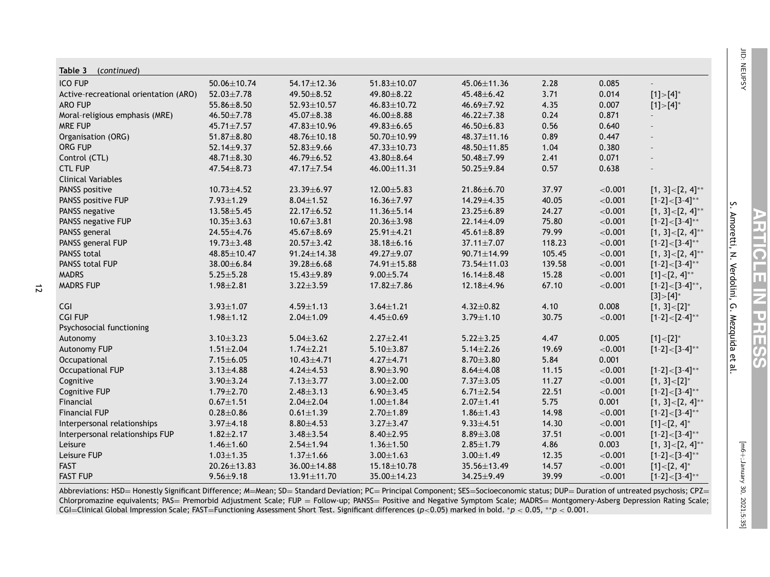| Table 3<br>(continued)                |                   |                  |                   |                  |        |            |                                         |
|---------------------------------------|-------------------|------------------|-------------------|------------------|--------|------------|-----------------------------------------|
| ICO FUP                               | 50.06±10.74       | 54.17±12.36      | 51.83±10.07       | 45.06±11.36      | 2.28   | 0.085      | $\equiv$                                |
| Active-recreational orientation (ARO) | $52.03 \pm 7.78$  | 49.50 ± 8.52     | 49.80 ± 8.22      | $45.48 \pm 6.42$ | 3.71   | 0.014      | $[1] > [4]^*$                           |
| <b>ARO FUP</b>                        | 55.86±8.50        | 52.93±10.57      | 46.83±10.72       | 46.69±7.92       | 4.35   | 0.007      | $[1] > [4]$ *                           |
| Moral-religious emphasis (MRE)        | 46.50±7.78        | 45.07±8.38       | $46.00 \pm 8.88$  | 46.22±7.38       | 0.24   | 0.871      |                                         |
| <b>MRE FUP</b>                        | 45.71±7.57        | 47.83±10.96      | 49.83±6.65        | 46.50±6.83       | 0.56   | 0.640      |                                         |
| Organisation (ORG)                    | $51.87 \pm 8.80$  | 48.76±10.18      | 50.70±10.99       | 48.37±11.16      | 0.89   | 0.447      |                                         |
| <b>ORG FUP</b>                        | 52.14±9.37        | 52.83±9.66       | 47.33±10.73       | 48.50±11.85      | 1.04   | 0.380      | $\overline{a}$                          |
| Control (CTL)                         | 48.71±8.30        | 46.79±6.52       | 43.80±8.64        | 50.48±7.99       | 2.41   | 0.071      |                                         |
| <b>CTL FUP</b>                        | 47.54±8.73        | 47.17±7.54       | 46.00±11.31       | 50.25±9.84       | 0.57   | 0.638      |                                         |
| <b>Clinical Variables</b>             |                   |                  |                   |                  |        |            |                                         |
| PANSS positive                        | $10.73 \pm 4.52$  | 23.39±6.97       | $12.00 \pm 5.83$  | 21.86±6.70       | 37.97  | ${<}0.001$ | $[1, 3] < [2, 4]^{**}$                  |
| PANSS positive FUP                    | $7.93 \pm 1.29$   | $8.04 \pm 1.52$  | $16.36 \pm 7.97$  | 14.29±4.35       | 40.05  | < 0.001    | $[1-2] < [3-4]^{**}$                    |
| PANSS negative                        | $13.58 \pm 5.45$  | $22.17 \pm 6.52$ | $11.36 \pm 5.14$  | 23.25±6.89       | 24.27  | ${<}0.001$ | $[1, 3] < [2, 4]^{**}$                  |
| PANSS negative FUP                    | $10.35 \pm 3.63$  | $10.67 + 3.81$   | $20.36 \pm 3.98$  | 22.14±4.09       | 75.80  | < 0.001    | $[1-2] < [3-4]^{**}$                    |
| PANSS general                         | 24.55±4.76        | 45.67±8.69       | 25.91±4.21        | $45.61 \pm 8.89$ | 79.99  | ${<}0.001$ | $[1, 3] < [2, 4]^{**}$                  |
| PANSS general FUP                     | 19.73±3.48        | $20.57 \pm 3.42$ | 38.18±6.16        | 37.11±7.07       | 118.23 | ${<}0.001$ | $[1-2] < [3-4]^{**}$                    |
| PANSS total                           | 48.85±10.47       | 91.24±14.38      | 49.27±9.07        | 90.71±14.99      | 105.45 | ${<}0.001$ | $[1, 3] < [2, 4]^{**}$                  |
| PANSS total FUP                       | 38.00±6.84        | 39.28±6.68       | 74.91±15.88       | 73.54±11.03      | 139.58 | ${<}0.001$ | $[1-2] < [3-4]^{**}$                    |
| <b>MADRS</b>                          | $5.25 \pm 5.28$   | 15.43±9.89       | $9.00 \pm 5.74$   | $16.14 \pm 8.48$ | 15.28  | < 0.001    | $[1] < [2, 4]^{**}$                     |
| <b>MADRS FUP</b>                      | $1.98 \pm 2.81$   | $3.22 \pm 3.59$  | $17.82 \pm 7.86$  | 12.18±4.96       | 67.10  | < 0.001    | $[1-2] < [3-4]^{**}$ ,<br>$[3] > [4]$ * |
| CGI                                   | $3.93 \pm 1.07$   | $4.59 \pm 1.13$  | $3.64 \pm 1.21$   | $4.32 \pm 0.82$  | 4.10   | 0.008      | $[1, 3] < [2]^*$                        |
| <b>CGI FUP</b>                        | $1.98 + 1.12$     | $2.04 \pm 1.09$  | $4.45 \pm 0.69$   | $3.79 \pm 1.10$  | 30.75  | < 0.001    | $[1-2] < [2-4]^{**}$                    |
| Psychosocial functioning              |                   |                  |                   |                  |        |            |                                         |
| Autonomy                              | $3.10 \pm 3.23$   | $5.04 \pm 3.62$  | $2.27 \pm 2.41$   | $5.22 \pm 3.25$  | 4.47   | 0.005      | $[1] < [2]^*$                           |
| Autonomy FUP                          | $1.51 \pm 2.04$   | $1.74 \pm 2.21$  | $5.10 \pm 3.87$   | $5.14 \pm 2.26$  | 19.69  | < 0.001    | $[1-2] < [3-4]^{**}$                    |
| Occupational                          | $7.15 \pm 6.05$   | $10.43 \pm 4.71$ | $4.27 \pm 4.71$   | $8.70 \pm 3.80$  | 5.84   | 0.001      |                                         |
| <b>Occupational FUP</b>               | $3.13 \pm 4.88$   | $4.24 \pm 4.53$  | $8.90 \pm 3.90$   | $8.64 \pm 4.08$  | 11.15  | < 0.001    | $[1-2] < [3-4]^{**}$                    |
| Cognitive                             | $3.90 \pm 3.24$   | $7.13 \pm 3.77$  | $3.00 \pm 2.00$   | $7.37 \pm 3.05$  | 11.27  | < 0.001    | $[1, 3] < [2]^*$                        |
| Cognitive FUP                         | $1.79 \pm 2.70$   | $2.48 \pm 3.13$  | $6.90 \pm 3.45$   | $6.71 \pm 2.54$  | 22.51  | < 0.001    | $[1-2] < [3-4]^{**}$                    |
| Financial                             | $0.67 + 1.51$     | $2.04 \pm 2.04$  | $1.00 \pm 1.84$   | $2.07 \pm 1.41$  | 5.75   | 0.001      | $[1, 3] < [2, 4]^{**}$                  |
| <b>Financial FUP</b>                  | $0.28 + 0.86$     | $0.61 + 1.39$    | $2.70 + 1.89$     | $1.86 \pm 1.43$  | 14.98  | ${<}0.001$ | $[1-2] < [3-4]^{**}$                    |
| Interpersonal relationships           | $3.97 \pm 4.18$   | $8.80 + 4.53$    | $3.27 \pm 3.47$   | $9.33 \pm 4.51$  | 14.30  | < 0.001    | $[1] < [2, 4]^*$                        |
| Interpersonal relationships FUP       | $1.82 \pm 2.17$   | $3.48 + 3.54$    | $8.40 \pm 2.95$   | $8.89 + 3.08$    | 37.51  | ${<}0.001$ | $[1-2] < [3-4]^{**}$                    |
| Leisure                               | $1.46 \pm 1.60$   | $2.54 \pm 1.94$  | $1.36 \pm 1.50$   | $2.85 \pm 1.79$  | 4.86   | 0.003      | $[1, 3] < [2, 4]^{**}$                  |
| Leisure FUP                           | $1.03 \pm 1.35$   | $1.37 + 1.66$    | $3.00 \pm 1.63$   | $3.00 \pm 1.49$  | 12.35  | < 0.001    | $[1-2] < [3-4]^{**}$                    |
| <b>FAST</b>                           | $20.26 \pm 13.83$ | 36.00±14.88      | $15.18 \pm 10.78$ | 35.56±13.49      | 14.57  | < 0.001    | $[1] < [2, 4]$ *                        |
| <b>FAST FUP</b>                       | $9.56 \pm 9.18$   | 13.91±11.70      | 35.00±14.23       | 34.25±9.49       | 39.99  | ${<}0.001$ | $[1-2] < [3-4]^{**}$                    |

S.

JID:

NEUPSY

**ARTICLE**

**IZ** 

**PRESS**

al.

Abbreviations: HSD<sup>=</sup> Honestly Significant Difference; *M*=Mean; SD<sup>=</sup> Standard Deviation; PC<sup>=</sup> Principal Component; SES=Socioeconomic status; DUP<sup>=</sup> Duration of untreated psychosis; CPZ<sup>=</sup> Chlorpromazine equivalents; PAS= Premorbid Adjustment Scale; FUP = Follow-up; PANSS= Positive and Negative Symptom Scale; MADRS= Montgomery-Asberg Depression Rating Scale; CGI=Clinical Global Impression Scale; FAST=Functioning Assessment Short Test. Significant differences (*p*<0.05) marked in bold. <sup>∗</sup>*p* <sup>&</sup>lt; 0.05, ∗∗*p* <sup>&</sup>lt; 0.001.

 $\vec{z}$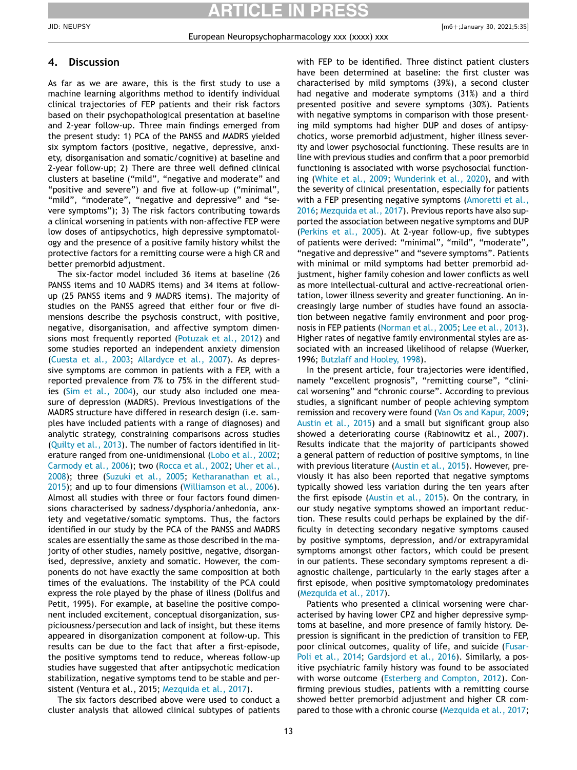European Neuropsychopharmacology xxx (xxxx) xxx

## **4. Discussion**

As far as we are aware, this is the first study to use a machine learning algorithms method to identify individual clinical trajectories of FEP patients and their risk factors based on their psychopathological presentation at baseline and 2-year follow-up. Three main findings emerged from the present study: 1) PCA of the PANSS and MADRS yielded six symptom factors (positive, negative, depressive, anxiety, disorganisation and somatic/cognitive) at baseline and 2-year follow-up; 2) There are three well defined clinical clusters at baseline ("mild", "negative and moderate" and "positive and severe") and five at follow-up ("minimal", "mild", "moderate", "negative and depressive" and "severe symptoms"); 3) The risk factors contributing towards a clinical worsening in patients with non-affective FEP were low doses of antipsychotics, high depressive symptomatology and the presence of a positive family history whilst the protective factors for a remitting course were a high CR and better premorbid adjustment.

The six-factor model included 36 items at baseline (26 PANSS items and 10 MADRS items) and 34 items at followup (25 PANSS items and 9 MADRS items). The majority of studies on the PANSS agreed that either four or five dimensions describe the psychosis construct, with positive, negative, disorganisation, and affective symptom dimensions most frequently reported [\(Potuzak](#page-16-0) et al., 2012) and some studies reported an independent anxiety dimension [\(Cuesta](#page-15-0) et al., 2003; [Allardyce](#page-15-0) et al., 2007). As depressive symptoms are common in patients with a FEP, with a reported prevalence from 7% to 75% in the different studies (Sim et al., [2004\)](#page-17-0), our study also included one measure of depression (MADRS). Previous investigations of the MADRS structure have differed in research design (i.e. samples have included patients with a range of diagnoses) and analytic strategy, constraining comparisons across studies [\(Quilty](#page-16-0) et al., 2013). The number of factors identified in literature ranged from one-unidimensional (Lobo et al., [2002;](#page-16-0) [Carmody](#page-15-0) et al., 2006); two [\(Rocca](#page-16-0) et al., 2002; Uher et al., 2008); three [\(Suzuki](#page-17-0) et al., 2005; [Ketharanathan](#page-17-0) et al., 2015); and up to four dimensions [\(Williamson](#page-17-0) et al., 2006). Almost all studies with three or four factors found dimensions characterised by sadness/dysphoria/anhedonia, anxiety and vegetative/somatic symptoms. Thus, the factors identified in our study by the PCA of the PANSS and MADRS scales are essentially the same as those described in the majority of other studies, namely positive, negative, disorganised, depressive, anxiety and somatic. However, the components do not have exactly the same composition at both times of the evaluations. The instability of the PCA could express the role played by the phase of illness (Dollfus and Petit, 1995). For example, at baseline the positive component included excitement, conceptual disorganization, suspiciousness/persecution and lack of insight, but these items appeared in disorganization component at follow-up. This results can be due to the fact that after a first-episode, the positive symptoms tend to reduce, whereas follow-up studies have suggested that after antipsychotic medication stabilization, negative symptoms tend to be stable and persistent (Ventura et al., 2015; [Mezquida](#page-16-0) et al., 2017).

The six factors described above were used to conduct a cluster analysis that allowed clinical subtypes of patients with FEP to be identified. Three distinct patient clusters have been determined at baseline: the first cluster was characterised by mild symptoms (39%), a second cluster had negative and moderate symptoms (31%) and a third presented positive and severe symptoms (30%). Patients with negative symptoms in comparison with those presenting mild symptoms had higher DUP and doses of antipsychotics, worse premorbid adjustment, higher illness severity and lower psychosocial functioning. These results are in line with previous studies and confirm that a poor premorbid functioning is associated with worse psychosocial functioning [\(White](#page-17-0) et al., 2009; [Wunderink](#page-17-0) et al., 2020), and with the severity of clinical presentation, especially for patients with a FEP [presenting](#page-15-0) negative symptoms (Amoretti et al., 2016; [Mezquida](#page-16-0) et al., 2017). Previous reports have also supported the association between negative symptoms and DUP [\(Perkins](#page-16-0) et al., 2005). At 2-year follow-up, five subtypes of patients were derived: "minimal", "mild", "moderate", "negative and depressive" and "severe symptoms". Patients with minimal or mild symptoms had better premorbid adjustment, higher family cohesion and lower conflicts as well as more intellectual-cultural and active-recreational orientation, lower illness severity and greater functioning. An increasingly large number of studies have found an association between negative family environment and poor prognosis in FEP patients [\(Norman](#page-16-0) et al., 2005; Lee et al., [2013\)](#page-16-0). Higher rates of negative family environmental styles are associated with an increased likelihood of relapse (Wuerker, 1996; [Butzlaff and](#page-15-0) Hooley, 1998).

In the present article, four trajectories were identified, namely "excellent prognosis", "remitting course", "clinical worsening" and "chronic course". According to previous studies, a significant number of people achieving symptom remission and recovery were found (Van Os and [Kapur,](#page-17-0) 2009; [Austin](#page-15-0) et al., 2015) and a small but significant group also showed a deteriorating course (Rabinowitz et al., 2007). Results indicate that the majority of participants showed a general pattern of reduction of positive symptoms, in line with previous literature [\(Austin](#page-15-0) et al., 2015). However, previously it has also been reported that negative symptoms typically showed less variation during the ten years after the first episode [\(Austin](#page-15-0) et al., 2015). On the contrary, in our study negative symptoms showed an important reduction. These results could perhaps be explained by the difficulty in detecting secondary negative symptoms caused by positive symptoms, depression, and/or extrapyramidal symptoms amongst other factors, which could be present in our patients. These secondary symptoms represent a diagnostic challenge, particularly in the early stages after a first episode, when positive symptomatology predominates [\(Mezquida](#page-16-0) et al., 2017).

Patients who presented a clinical worsening were characterised by having lower CPZ and higher depressive symptoms at baseline, and more presence of family history. Depression is significant in the prediction of transition to FEP, poor clinical [outcomes,](#page-16-0) quality of life, and suicide (Fusar-Poli et al., 2014; [Gardsjord](#page-16-0) et al., 2016). Similarly, a positive psychiatric family history was found to be associated with worse outcome [\(Esterberg](#page-16-0) and Compton, 2012). Confirming previous studies, patients with a remitting course showed better premorbid adjustment and higher CR compared to those with a chronic course [\(Mezquida](#page-16-0) et al., 2017;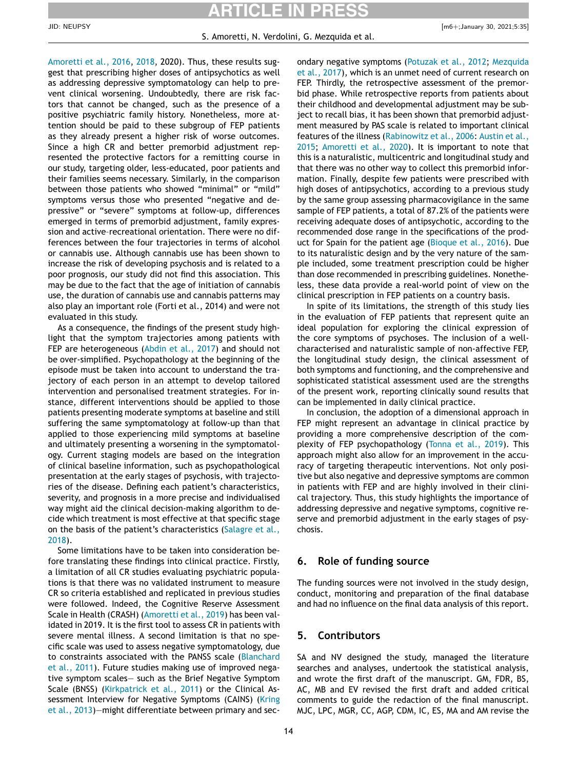S. Amoretti, N. Verdolini, G. Mezquida et al.

[Amoretti](#page-15-0) et al., 2016, [2018,](#page-15-0) 2020). Thus, these results suggest that prescribing higher doses of antipsychotics as well as addressing depressive symptomatology can help to prevent clinical worsening. Undoubtedly, there are risk factors that cannot be changed, such as the presence of a positive psychiatric family history. Nonetheless, more attention should be paid to these subgroup of FEP patients as they already present a higher risk of worse outcomes. Since a high CR and better premorbid adjustment represented the protective factors for a remitting course in our study, targeting older, less-educated, poor patients and their families seems necessary. Similarly, in the comparison between those patients who showed "minimal" or "mild" symptoms versus those who presented "negative and depressive" or "severe" symptoms at follow-up, differences emerged in terms of premorbid adjustment, family expression and active–recreational orientation. There were no differences between the four trajectories in terms of alcohol or cannabis use. Although cannabis use has been shown to increase the risk of developing psychosis and is related to a poor prognosis, our study did not find this association. This may be due to the fact that the age of initiation of cannabis use, the duration of cannabis use and cannabis patterns may also play an important role (Forti et al., 2014) and were not evaluated in this study.

As a consequence, the findings of the present study highlight that the symptom trajectories among patients with FEP are heterogeneous [\(Abdin](#page-15-0) et al., 2017) and should not be over-simplified. Psychopathology at the beginning of the episode must be taken into account to understand the trajectory of each person in an attempt to develop tailored intervention and personalised treatment strategies. For instance, different interventions should be applied to those patients presenting moderate symptoms at baseline and still suffering the same symptomatology at follow-up than that applied to those experiencing mild symptoms at baseline and ultimately presenting a worsening in the symptomatology. Current staging models are based on the integration of clinical baseline information, such as psychopathological presentation at the early stages of psychosis, with trajectories of the disease. Defining each patient's characteristics, severity, and prognosis in a more precise and individualised way might aid the clinical decision-making algorithm to decide which treatment is most effective at that specific stage on the basis of the patient's [characteristics](#page-17-0) (Salagre et al., 2018).

Some limitations have to be taken into consideration before translating these findings into clinical practice. Firstly, a limitation of all CR studies evaluating psychiatric populations is that there was no validated instrument to measure CR so criteria established and replicated in previous studies were followed. Indeed, the Cognitive Reserve Assessment Scale in Health (CRASH) [\(Amoretti](#page-15-0) et al., 2019) has been validated in 2019. It is the first tool to assess CR in patients with severe mental illness. A second limitation is that no specific scale was used to assess negative symptomatology, due to [constraints](#page-15-0) associated with the PANSS scale (Blanchard et al., 2011). Future studies making use of improved negative symptom scales— such as the Brief Negative Symptom Scale (BNSS) [\(Kirkpatrick](#page-16-0) et al., 2011) or the Clinical Assessment Interview for Negative Symptoms (CAINS) (Kring et al., [2013\)—might](#page-16-0) differentiate between primary and secondary negative [symptoms](#page-16-0) [\(Potuzak](#page-16-0) et al., 2012; Mezquida et al., 2017), which is an unmet need of current research on FEP. Thirdly, the retrospective assessment of the premorbid phase. While retrospective reports from patients about their childhood and developmental adjustment may be subject to recall bias, it has been shown that premorbid adjustment measured by PAS scale is related to important clinical features of the illness [\(](#page-15-0)[Rabinowitz](#page-16-0) et al., 2006: Austin et al., 2015; [Amoretti](#page-15-0) et al., 2020). It is important to note that this is a naturalistic, multicentric and longitudinal study and that there was no other way to collect this premorbid information. Finally, despite few patients were prescribed with high doses of antipsychotics, according to a previous study by the same group assessing pharmacovigilance in the same sample of FEP patients, a total of 87.2% of the patients were receiving adequate doses of antipsychotic, according to the recommended dose range in the specifications of the product for Spain for the patient age [\(Bioque](#page-15-0) et al., 2016). Due to its naturalistic design and by the very nature of the sample included, some treatment prescription could be higher than dose recommended in prescribing guidelines. Nonetheless, these data provide a real-world point of view on the clinical prescription in FEP patients on a country basis.

In spite of its limitations, the strength of this study lies in the evaluation of FEP patients that represent quite an ideal population for exploring the clinical expression of the core symptoms of psychoses. The inclusion of a wellcharacterised and naturalistic sample of non-affective FEP, the longitudinal study design, the clinical assessment of both symptoms and functioning, and the comprehensive and sophisticated statistical assessment used are the strengths of the present work, reporting clinically sound results that can be implemented in daily clinical practice.

In conclusion, the adoption of a dimensional approach in FEP might represent an advantage in clinical practice by providing a more comprehensive description of the complexity of FEP psychopathology [\(Tonna](#page-17-0) et al., 2019). This approach might also allow for an improvement in the accuracy of targeting therapeutic interventions. Not only positive but also negative and depressive symptoms are common in patients with FEP and are highly involved in their clinical trajectory. Thus, this study highlights the importance of addressing depressive and negative symptoms, cognitive reserve and premorbid adjustment in the early stages of psychosis.

## **6. Role of funding source**

The funding sources were not involved in the study design, conduct, monitoring and preparation of the final database and had no influence on the final data analysis of this report.

## **5. Contributors**

SA and NV designed the study, managed the literature searches and analyses, undertook the statistical analysis, and wrote the first draft of the manuscript. GM, FDR, BS, AC, MB and EV revised the first draft and added critical comments to guide the redaction of the final manuscript. MJC, LPC, MGR, CC, AGP, CDM, IC, ES, MA and AM revise the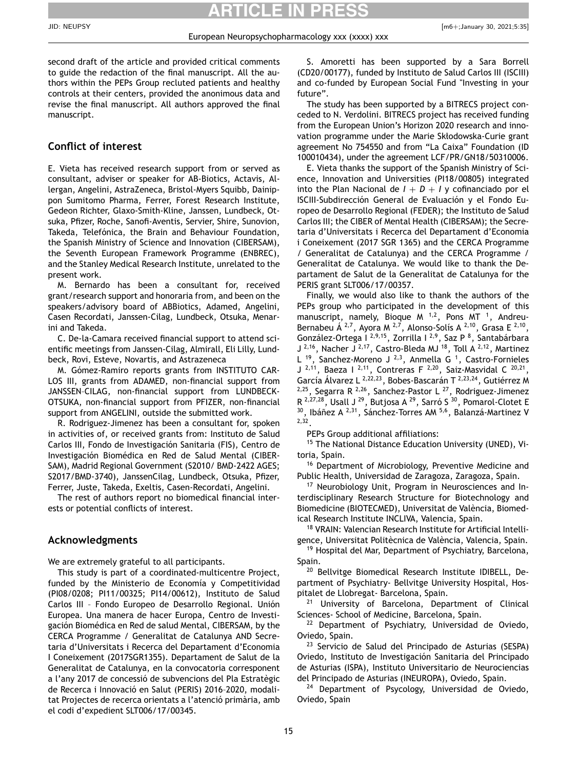### European Neuropsychopharmacology xxx (xxxx) xxx

second draft of the article and provided critical comments to guide the redaction of the final manuscript. All the authors within the PEPs Group recluted patients and healthy controls at their centers, provided the anonimous data and revise the final manuscript. All authors approved the final manuscript.

## **Conflict of interest**

E. Vieta has received research support from or served as consultant, adviser or speaker for AB-Biotics, Actavis, Allergan, Angelini, AstraZeneca, Bristol-Myers Squibb, Dainippon Sumitomo Pharma, Ferrer, Forest Research Institute, Gedeon Richter, Glaxo-Smith-Kline, Janssen, Lundbeck, Otsuka, Pfizer, Roche, Sanofi-Aventis, Servier, Shire, Sunovion, Takeda, Telefónica, the Brain and Behaviour Foundation, the Spanish Ministry of Science and Innovation (CIBERSAM), the Seventh European Framework Programme (ENBREC), and the Stanley Medical Research Institute, unrelated to the present work.

M. Bernardo has been a consultant for, received grant/research support and honoraria from, and been on the speakers/advisory board of ABBiotics, Adamed, Angelini, Casen Recordati, Janssen-Cilag, Lundbeck, Otsuka, Menarini and Takeda.

C. De-la-Camara received financial support to attend scientific meetings from Janssen-Cilag, Almirall, Eli Lilly, Lundbeck, Rovi, Esteve, Novartis, and Astrazeneca

M. Gómez-Ramiro reports grants from INSTITUTO CAR-LOS III, grants from ADAMED, non-financial support from JANSSEN–CILAG, non-financial support from LUNDBECK-OTSUKA, non-financial support from PFIZER, non-financial support from ANGELINI, outside the submitted work.

R. Rodriguez-Jimenez has been a consultant for, spoken in activities of, or received grants from: Instituto de Salud Carlos III, Fondo de Investigación Sanitaria (FIS), Centro de Investigación Biomédica en Red de Salud Mental (CIBER-SAM), Madrid Regional Government (S2010/ BMD-2422 AGES; S2017/BMD-3740), JanssenCilag, Lundbeck, Otsuka, Pfizer, Ferrer, Juste, Takeda, Exeltis, Casen-Recordati, Angelini.

The rest of authors report no biomedical financial interests or potential conflicts of interest.

## **Acknowledgments**

We are extremely grateful to all participants.

This study is part of a coordinated-multicentre Project, funded by the Ministerio de Economía y Competitividad (PI08/0208; PI11/00325; PI14/00612), Instituto de Salud Carlos III – Fondo Europeo de Desarrollo Regional. Unión Europea. Una manera de hacer Europa, Centro de Investigación Biomédica en Red de salud Mental, CIBERSAM, by the CERCA Programme / Generalitat de Catalunya AND Secretaria d'Universitats i Recerca del Departament d'Economia I Coneixement (2017SGR1355). Departament de Salut de la Generalitat de Catalunya, en la convocatoria corresponent a l'any 2017 de concessió de subvencions del Pla Estratègic de Recerca i Innovació en Salut (PERIS) 2016–2020, modalitat Projectes de recerca orientats a l'atenció primària, amb el codi d'expedient SLT006/17/00345.

S. Amoretti has been supported by a Sara Borrell (CD20/00177), funded by Instituto de Salud Carlos III (ISCIII) and co-funded by European Social Fund "Investing in your future".

The study has been supported by a BITRECS project conceded to N. Verdolini. BITRECS project has received funding from the European Union's Horizon 2020 research and innovation programme under the Marie Skłodowska-Curie grant agreement No 754550 and from "La Caixa" Foundation (ID 100010434), under the agreement LCF/PR/GN18/50310006.

E. Vieta thanks the support of the Spanish Ministry of Science, Innovation and Universities (PI18/00805) integrated into the Plan Nacional de  $I + D + I$  y cofinanciado por el ISCIII-Subdirección General de Evaluación y el Fondo Europeo de Desarrollo Regional (FEDER); the Instituto de Salud Carlos III; the CIBER of Mental Health (CIBERSAM); the Secretaria d'Universitats i Recerca del Departament d'Economia i Coneixement (2017 SGR 1365) and the CERCA Programme / Generalitat de Catalunya) and the CERCA Programme / Generalitat de Catalunya. We would like to thank the Departament de Salut de la Generalitat de Catalunya for the PERIS grant SLT006/17/00357.

Finally, we would also like to thank the authors of the PEPs group who participated in the development of this manuscript, namely, Bioque M  $^{1,2}$ , Pons MT  $^{1}$ , Andreu-Bernabeu Á <sup>2,7</sup>, Ayora M <sup>2,7</sup>, Alonso-Solís A <sup>2,10</sup>, Grasa E <sup>2,10</sup>, González-Ortega I 2,9,15, Zorrilla I 2,9, Saz P 8, Santabárbara  $J^{2,16}$ , Nacher  $J^{2,17}$ , Castro-Bleda MJ  $^{18}$ , Toll A  $^{2,12}$ , Martinez L <sup>19</sup>, Sanchez-Moreno J<sup>2,3</sup>, Anmella G<sup>1</sup>, Castro-Fornieles J <sup>2,11</sup>, Baeza I <sup>2,11</sup>, Contreras F <sup>2,20</sup>, Saiz-Masvidal C <sup>20,21</sup>, García Álvarez L 2,22,23, Bobes-Bascarán T 2,23,24, Gutiérrez M <sup>2,25</sup>, Segarra R<sup>2,26</sup>, Sanchez-Pastor L<sup>27</sup>, Rodriguez-Jimenez R 2,27,28, Usall J 29, Butjosa A 29, Sarró S 30, Pomarol-Clotet E 30, Ibáñez A 2,31, Sánchez-Torres AM 5,6, Balanzá-Martinez V  $2,32.$ 

PEPs Group additional affiliations:

<sup>15</sup> The National Distance Education University (UNED), Vitoria, Spain.

<sup>16</sup> Department of Microbiology, Preventive Medicine and Public Health, Universidad de Zaragoza, Zaragoza, Spain.

<sup>17</sup> Neurobiology Unit, Program in Neurosciences and Interdisciplinary Research Structure for Biotechnology and Biomedicine (BIOTECMED), Universitat de València, Biomedical Research Institute INCLIVA, Valencia, Spain.

<sup>18</sup> VRAIN: Valencian Research Institute for Artificial Intelligence, Universitat Politècnica de València, Valencia, Spain.

<sup>19</sup> Hospital del Mar, Department of Psychiatry, Barcelona, Spain.

<sup>20</sup> Bellvitge Biomedical Research Institute IDIBELL, Department of Psychiatry- Bellvitge University Hospital, Hospitalet de Llobregat- Barcelona, Spain.

<sup>21</sup> University of Barcelona, Department of Clinical Sciences- School of Medicine, Barcelona, Spain.

<sup>22</sup> Department of Psychiatry, Universidad de Oviedo, Oviedo, Spain.

<sup>23</sup> Servicio de Salud del Principado de Asturias (SESPA) Oviedo, Instituto de Investigación Sanitaria del Principado de Asturias (ISPA), Instituto Universitario de Neurociencias del Principado de Asturias (INEUROPA), Oviedo, Spain.

<sup>24</sup> Department of Psycology, Universidad de Oviedo, Oviedo, Spain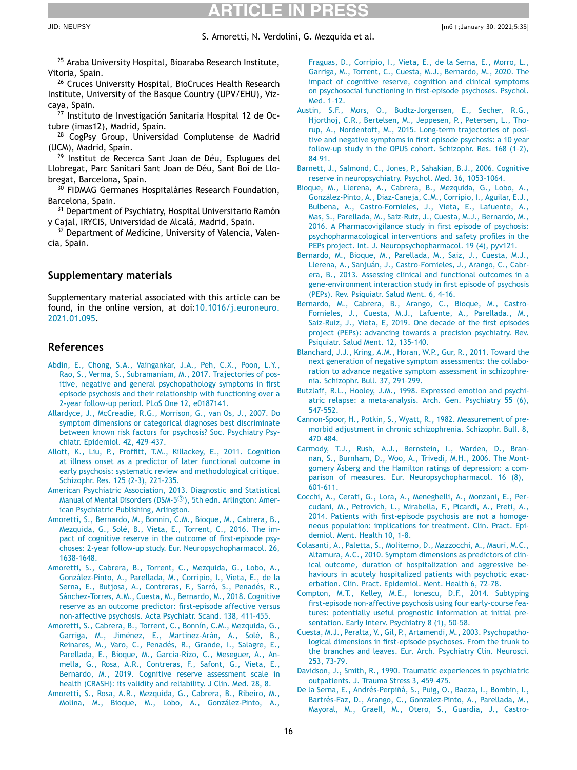### S. Amoretti, N. Verdolini, G. Mezquida et al.

<span id="page-15-0"></span><sup>25</sup> Araba University Hospital, Bioaraba Research Institute, Vitoria, Spain.

<sup>26</sup> Cruces University Hospital, BioCruces Health Research Institute, University of the Basque Country (UPV/EHU), Vizcaya, Spain.

<sup>27</sup> Instituto de Investigación Sanitaria Hospital 12 de Octubre (imas12), Madrid, Spain.

<sup>28</sup> CogPsy Group, Universidad Complutense de Madrid (UCM), Madrid, Spain.

<sup>29</sup> Institut de Recerca Sant Joan de Déu, Esplugues del Llobregat, Parc Sanitari Sant Joan de Déu, Sant Boi de Llobregat, Barcelona, Spain.

<sup>30</sup> FIDMAG Germanes Hospitalàries Research Foundation, Barcelona, Spain.

<sup>31</sup> Department of Psychiatry, Hospital Universitario Ramón y Cajal, IRYCIS, Universidad de Alcalá, Madrid, Spain.

32 Department of Medicine, University of Valencia, Valencia, Spain.

## **Supplementary materials**

Supplementary material associated with this article can be found, in the online version, at doi:10.1016/*i.euroneuro.* 2021.01.095.

## **References**

- [Abdin,](http://refhub.elsevier.com/S0924-977X(21)00110-3/sbref0001) E., [Chong,](http://refhub.elsevier.com/S0924-977X(21)00110-3/sbref0001) S.A., [Vaingankar,](http://refhub.elsevier.com/S0924-977X(21)00110-3/sbref0001) J.A., Peh, [C.X.,](http://refhub.elsevier.com/S0924-977X(21)00110-3/sbref0001) [Poon,](http://refhub.elsevier.com/S0924-977X(21)00110-3/sbref0001) L.Y., [Rao,](http://refhub.elsevier.com/S0924-977X(21)00110-3/sbref0001) S., [Verma,](http://refhub.elsevier.com/S0924-977X(21)00110-3/sbref0001) S., [Subramaniam,](http://refhub.elsevier.com/S0924-977X(21)00110-3/sbref0001) M., 2017. Trajectories of positive, negative and general [psychopathology](http://refhub.elsevier.com/S0924-977X(21)00110-3/sbref0001) symptoms in first episode psychosis and their relationship with functioning over a 2-year follow-up period. PLoS One 12, e0187141.
- [Allardyce,](http://refhub.elsevier.com/S0924-977X(21)00110-3/sbref0002) J., [McCreadie,](http://refhub.elsevier.com/S0924-977X(21)00110-3/sbref0002) R.G., [Morrison,](http://refhub.elsevier.com/S0924-977X(21)00110-3/sbref0002) G., [van](http://refhub.elsevier.com/S0924-977X(21)00110-3/sbref0002) Os, J., 2007. Do symptom dimensions or categorical diagnoses best [discriminate](http://refhub.elsevier.com/S0924-977X(21)00110-3/sbref0002) between known risk factors for psychosis? Soc. Psychiatry Psychiatr. Epidemiol. 42, 429–437.
- [Allott,](http://refhub.elsevier.com/S0924-977X(21)00110-3/sbref0003) K., [Liu,](http://refhub.elsevier.com/S0924-977X(21)00110-3/sbref0003) P., [Proffitt,](http://refhub.elsevier.com/S0924-977X(21)00110-3/sbref0003) T.M., [Killackey,](http://refhub.elsevier.com/S0924-977X(21)00110-3/sbref0003) E., 2011. Cognition at illness onset as a predictor of later functional outcome in early psychosis: systematic review and [methodological](http://refhub.elsevier.com/S0924-977X(21)00110-3/sbref0003) critique. Schizophr. Res. 125 (2–3), 221–235.
- American Psychiatric [Association,](http://refhub.elsevier.com/S0924-977X(21)00110-3/sbref0004) 2013. Diagnostic and Statistical Manual of Mental Disorders (DSM- $5^{\circledR}$ ), 5th edn. Arlington: American Psychiatric Publishing, Arlington.
- [Amoretti,](http://refhub.elsevier.com/S0924-977X(21)00110-3/sbref0005) S., [Bernardo,](http://refhub.elsevier.com/S0924-977X(21)00110-3/sbref0005) M., [Bonnin,](http://refhub.elsevier.com/S0924-977X(21)00110-3/sbref0005) C.M., [Bioque,](http://refhub.elsevier.com/S0924-977X(21)00110-3/sbref0005) M., [Cabrera,](http://refhub.elsevier.com/S0924-977X(21)00110-3/sbref0005) B., [Mezquida,](http://refhub.elsevier.com/S0924-977X(21)00110-3/sbref0005) G., [Solé,](http://refhub.elsevier.com/S0924-977X(21)00110-3/sbref0005) B., [Vieta,](http://refhub.elsevier.com/S0924-977X(21)00110-3/sbref0005) E., [Torrent,](http://refhub.elsevier.com/S0924-977X(21)00110-3/sbref0005) C., 2016. The impact of cognitive reserve in the outcome of first-episode psychoses: 2-year follow-up study. Eur. [Neuropsychopharmacol.](http://refhub.elsevier.com/S0924-977X(21)00110-3/sbref0005) 26, 1638–1648.
- [Amoretti,](http://refhub.elsevier.com/S0924-977X(21)00110-3/sbref0006) S., [Cabrera,](http://refhub.elsevier.com/S0924-977X(21)00110-3/sbref0006) B., [Torrent,](http://refhub.elsevier.com/S0924-977X(21)00110-3/sbref0006) C., [Mezquida,](http://refhub.elsevier.com/S0924-977X(21)00110-3/sbref0006) G., [Lobo,](http://refhub.elsevier.com/S0924-977X(21)00110-3/sbref0006) A., [González-Pinto,](http://refhub.elsevier.com/S0924-977X(21)00110-3/sbref0006) A., [Parellada,](http://refhub.elsevier.com/S0924-977X(21)00110-3/sbref0006) M., [Corripio,](http://refhub.elsevier.com/S0924-977X(21)00110-3/sbref0006) I., [Vieta,](http://refhub.elsevier.com/S0924-977X(21)00110-3/sbref0006) E., de la Serna, E., [Butjosa,](http://refhub.elsevier.com/S0924-977X(21)00110-3/sbref0006) A., [Contreras,](http://refhub.elsevier.com/S0924-977X(21)00110-3/sbref0006) F., [Sarró,](http://refhub.elsevier.com/S0924-977X(21)00110-3/sbref0006) S., [Penadés,](http://refhub.elsevier.com/S0924-977X(21)00110-3/sbref0006) R., [Sánchez-Torres,](http://refhub.elsevier.com/S0924-977X(21)00110-3/sbref0006) A.M., [Cuesta,](http://refhub.elsevier.com/S0924-977X(21)00110-3/sbref0006) M., [Bernardo,](http://refhub.elsevier.com/S0924-977X(21)00110-3/sbref0006) M., 2018. Cognitive reserve as an outcome predictor: first-episode affective versus non-affective psychosis. Acta Psychiatr. Scand. 138, 411–455.
- [Amoretti,](http://refhub.elsevier.com/S0924-977X(21)00110-3/sbref0007) S., [Cabrera,](http://refhub.elsevier.com/S0924-977X(21)00110-3/sbref0007) B., [Torrent,](http://refhub.elsevier.com/S0924-977X(21)00110-3/sbref0007) C., [Bonnín,](http://refhub.elsevier.com/S0924-977X(21)00110-3/sbref0007) C.M., [Mezquida,](http://refhub.elsevier.com/S0924-977X(21)00110-3/sbref0007) G., [Garriga,](http://refhub.elsevier.com/S0924-977X(21)00110-3/sbref0007) M., [Jiménez,](http://refhub.elsevier.com/S0924-977X(21)00110-3/sbref0007) E., [Martínez-Arán,](http://refhub.elsevier.com/S0924-977X(21)00110-3/sbref0007) A., [Solé,](http://refhub.elsevier.com/S0924-977X(21)00110-3/sbref0007) B., [Reinares,](http://refhub.elsevier.com/S0924-977X(21)00110-3/sbref0007) M., [Varo,](http://refhub.elsevier.com/S0924-977X(21)00110-3/sbref0007) C., [Penadés,](http://refhub.elsevier.com/S0924-977X(21)00110-3/sbref0007) R., [Grande,](http://refhub.elsevier.com/S0924-977X(21)00110-3/sbref0007) I., [Salagre,](http://refhub.elsevier.com/S0924-977X(21)00110-3/sbref0007) E., [Parellada,](http://refhub.elsevier.com/S0924-977X(21)00110-3/sbref0007) E., [Bioque,](http://refhub.elsevier.com/S0924-977X(21)00110-3/sbref0007) M., [Garcia-Rizo,](http://refhub.elsevier.com/S0924-977X(21)00110-3/sbref0007) C., [Meseguer,](http://refhub.elsevier.com/S0924-977X(21)00110-3/sbref0007) A., Anmella, G., [Rosa,](http://refhub.elsevier.com/S0924-977X(21)00110-3/sbref0007) A.R., [Contreras,](http://refhub.elsevier.com/S0924-977X(21)00110-3/sbref0007) F., [Safont,](http://refhub.elsevier.com/S0924-977X(21)00110-3/sbref0007) G., [Vieta,](http://refhub.elsevier.com/S0924-977X(21)00110-3/sbref0007) E., [Bernardo,](http://refhub.elsevier.com/S0924-977X(21)00110-3/sbref0007) M., 2019. Cognitive reserve [assessment](http://refhub.elsevier.com/S0924-977X(21)00110-3/sbref0007) scale in health (CRASH): its validity and reliability. J Clin. Med. 28, 8.
- [Amoretti,](http://refhub.elsevier.com/S0924-977X(21)00110-3/sbref0008) S., [Rosa,](http://refhub.elsevier.com/S0924-977X(21)00110-3/sbref0008) A.R., [Mezquida,](http://refhub.elsevier.com/S0924-977X(21)00110-3/sbref0008) G., [Cabrera,](http://refhub.elsevier.com/S0924-977X(21)00110-3/sbref0008) B., [Ribeiro,](http://refhub.elsevier.com/S0924-977X(21)00110-3/sbref0008) M., [Molina,](http://refhub.elsevier.com/S0924-977X(21)00110-3/sbref0008) M., [Bioque,](http://refhub.elsevier.com/S0924-977X(21)00110-3/sbref0008) M., [Lobo,](http://refhub.elsevier.com/S0924-977X(21)00110-3/sbref0008) A., [González-Pinto,](http://refhub.elsevier.com/S0924-977X(21)00110-3/sbref0008) A.,

[Fraguas,](http://refhub.elsevier.com/S0924-977X(21)00110-3/sbref0008) D., [Corripio,](http://refhub.elsevier.com/S0924-977X(21)00110-3/sbref0008) I., [Vieta,](http://refhub.elsevier.com/S0924-977X(21)00110-3/sbref0008) E., de la [Serna,](http://refhub.elsevier.com/S0924-977X(21)00110-3/sbref0008) E., [Morro,](http://refhub.elsevier.com/S0924-977X(21)00110-3/sbref0008) L., [Garriga,](http://refhub.elsevier.com/S0924-977X(21)00110-3/sbref0008) M., [Torrent,](http://refhub.elsevier.com/S0924-977X(21)00110-3/sbref0008) C., [Cuesta,](http://refhub.elsevier.com/S0924-977X(21)00110-3/sbref0008) M.J., [Bernardo,](http://refhub.elsevier.com/S0924-977X(21)00110-3/sbref0008) M., 2020. The impact of cognitive reserve, cognition and clinical symptoms on [psychosocial](http://refhub.elsevier.com/S0924-977X(21)00110-3/sbref0008) functioning in first-episode psychoses. Psychol. Med. 1–12.

- [Austin,](http://refhub.elsevier.com/S0924-977X(21)00110-3/sbref0009) S.F., [Mors,](http://refhub.elsevier.com/S0924-977X(21)00110-3/sbref0009) O., [Budtz-Jorgensen,](http://refhub.elsevier.com/S0924-977X(21)00110-3/sbref0009) E., [Secher,](http://refhub.elsevier.com/S0924-977X(21)00110-3/sbref0009) R.G., [Hjorthoj,](http://refhub.elsevier.com/S0924-977X(21)00110-3/sbref0009) C.R., [Bertelsen,](http://refhub.elsevier.com/S0924-977X(21)00110-3/sbref0009) M., [Jeppesen,](http://refhub.elsevier.com/S0924-977X(21)00110-3/sbref0009) P., [Petersen,](http://refhub.elsevier.com/S0924-977X(21)00110-3/sbref0009) L., Thorup, A., [Nordentoft,](http://refhub.elsevier.com/S0924-977X(21)00110-3/sbref0009) M., 2015. Long-term trajectories of positive and negative symptoms in first episode psychosis: a 10 year follow-up study in the OPUS cohort. Schizophr. Res. 168 (1–2), 84–91.
- [Barnett,](http://refhub.elsevier.com/S0924-977X(21)00110-3/sbref0010) J., [Salmond,](http://refhub.elsevier.com/S0924-977X(21)00110-3/sbref0010) C., [Jones,](http://refhub.elsevier.com/S0924-977X(21)00110-3/sbref0010) P., [Sahakian,](http://refhub.elsevier.com/S0924-977X(21)00110-3/sbref0010) B.J., 2006. Cognitive reserve in [neuropsychiatry.](http://refhub.elsevier.com/S0924-977X(21)00110-3/sbref0010) Psychol. Med. 36, 1053–1064.
- [Bioque,](http://refhub.elsevier.com/S0924-977X(21)00110-3/sbref0011) M., [Llerena,](http://refhub.elsevier.com/S0924-977X(21)00110-3/sbref0011) A., [Cabrera,](http://refhub.elsevier.com/S0924-977X(21)00110-3/sbref0011) B., [Mezquida,](http://refhub.elsevier.com/S0924-977X(21)00110-3/sbref0011) G., [Lobo,](http://refhub.elsevier.com/S0924-977X(21)00110-3/sbref0011) A., [González-Pinto,](http://refhub.elsevier.com/S0924-977X(21)00110-3/sbref0011) A., [Díaz-Caneja,](http://refhub.elsevier.com/S0924-977X(21)00110-3/sbref0011) C.M., [Corripio,](http://refhub.elsevier.com/S0924-977X(21)00110-3/sbref0011) I., [Aguilar,](http://refhub.elsevier.com/S0924-977X(21)00110-3/sbref0011) E.J., [Bulbena,](http://refhub.elsevier.com/S0924-977X(21)00110-3/sbref0011) A., [Castro-Fornieles,](http://refhub.elsevier.com/S0924-977X(21)00110-3/sbref0011) J., [Vieta,](http://refhub.elsevier.com/S0924-977X(21)00110-3/sbref0011) E., [Lafuente,](http://refhub.elsevier.com/S0924-977X(21)00110-3/sbref0011) A., [Mas,](http://refhub.elsevier.com/S0924-977X(21)00110-3/sbref0011) S., [Parellada,](http://refhub.elsevier.com/S0924-977X(21)00110-3/sbref0011) M., [Saiz-Ruiz,](http://refhub.elsevier.com/S0924-977X(21)00110-3/sbref0011) J., [Cuesta,](http://refhub.elsevier.com/S0924-977X(21)00110-3/sbref0011) M.J., [Bernardo,](http://refhub.elsevier.com/S0924-977X(21)00110-3/sbref0011) M., 2016. A Pharmacovigilance study in first episode of psychosis: psychopharmacological interventions and safety profiles in the PEPs project. Int. J. [Neuropsychopharmacol.](http://refhub.elsevier.com/S0924-977X(21)00110-3/sbref0011) 19 (4), pyv121.
- [Bernardo,](http://refhub.elsevier.com/S0924-977X(21)00110-3/sbref0012) M., [Bioque,](http://refhub.elsevier.com/S0924-977X(21)00110-3/sbref0012) M., [Parellada,](http://refhub.elsevier.com/S0924-977X(21)00110-3/sbref0012) M., [Saiz,](http://refhub.elsevier.com/S0924-977X(21)00110-3/sbref0012) J., [Cuesta,](http://refhub.elsevier.com/S0924-977X(21)00110-3/sbref0012) M.J., [Llerena,](http://refhub.elsevier.com/S0924-977X(21)00110-3/sbref0012) A., [Sanjuán,](http://refhub.elsevier.com/S0924-977X(21)00110-3/sbref0012) J., [Castro-Fornieles,](http://refhub.elsevier.com/S0924-977X(21)00110-3/sbref0012) J., [Arango,](http://refhub.elsevier.com/S0924-977X(21)00110-3/sbref0012) C., Cabrera, B., 2013. Assessing clinical and functional outcomes in a [gene-environment](http://refhub.elsevier.com/S0924-977X(21)00110-3/sbref0012) interaction study in first episode of psychosis (PEPs). Rev. Psiquiatr. Salud Ment. 6, 4–16.
- [Bernardo,](http://refhub.elsevier.com/S0924-977X(21)00110-3/sbref0013) M., [Cabrera,](http://refhub.elsevier.com/S0924-977X(21)00110-3/sbref0013) B., [Arango,](http://refhub.elsevier.com/S0924-977X(21)00110-3/sbref0013) C., [Bioque,](http://refhub.elsevier.com/S0924-977X(21)00110-3/sbref0013) M., Castro– Fornieles, J., [Cuesta,](http://refhub.elsevier.com/S0924-977X(21)00110-3/sbref0013) M.J., [Lafuente,](http://refhub.elsevier.com/S0924-977X(21)00110-3/sbref0013) A., [Parellada.,](http://refhub.elsevier.com/S0924-977X(21)00110-3/sbref0013) M., [Saiz-Ruiz,](http://refhub.elsevier.com/S0924-977X(21)00110-3/sbref0013) J., [Vieta,](http://refhub.elsevier.com/S0924-977X(21)00110-3/sbref0013) E, 2019. One decade of the first episodes project (PEPs): advancing towards a precision [psychiatry.](http://refhub.elsevier.com/S0924-977X(21)00110-3/sbref0013) Rev. Psiquiatr. Salud Ment. 12, 135–140.
- [Blanchard,](http://refhub.elsevier.com/S0924-977X(21)00110-3/sbref0014) J.J., [Kring,](http://refhub.elsevier.com/S0924-977X(21)00110-3/sbref0014) A.M., [Horan,](http://refhub.elsevier.com/S0924-977X(21)00110-3/sbref0014) W.P., [Gur,](http://refhub.elsevier.com/S0924-977X(21)00110-3/sbref0014) R., 2011. Toward the next generation of negative symptom [assessments:](http://refhub.elsevier.com/S0924-977X(21)00110-3/sbref0014) the collaboration to advance negative symptom assessment in schizophrenia. Schizophr. Bull. 37, 291–299.
- [Butzlaff,](http://refhub.elsevier.com/S0924-977X(21)00110-3/sbref0015) R.L., [Hooley,](http://refhub.elsevier.com/S0924-977X(21)00110-3/sbref0015) J.M., 1998. Expressed emotion and psychiatric relapse: a [meta-analysis.](http://refhub.elsevier.com/S0924-977X(21)00110-3/sbref0015) Arch. Gen. Psychiatry 55 (6), 547–552.
- [Cannon-Spoor,](http://refhub.elsevier.com/S0924-977X(21)00110-3/sbref0016) H., [Potkin,](http://refhub.elsevier.com/S0924-977X(21)00110-3/sbref0016) S., [Wyatt,](http://refhub.elsevier.com/S0924-977X(21)00110-3/sbref0016) R., 1982. Measurement of premorbid adjustment in chronic [schizophrenia.](http://refhub.elsevier.com/S0924-977X(21)00110-3/sbref0016) Schizophr. Bull. 8, 470–484.
- [Carmody,](http://refhub.elsevier.com/S0924-977X(21)00110-3/sbref0017) T.J., [Rush,](http://refhub.elsevier.com/S0924-977X(21)00110-3/sbref0017) A.J., [Bernstein,](http://refhub.elsevier.com/S0924-977X(21)00110-3/sbref0017) I., [Warden,](http://refhub.elsevier.com/S0924-977X(21)00110-3/sbref0017) D., Brannan, S., [Burnham,](http://refhub.elsevier.com/S0924-977X(21)00110-3/sbref0017) D., [Woo,](http://refhub.elsevier.com/S0924-977X(21)00110-3/sbref0017) A., [Trivedi,](http://refhub.elsevier.com/S0924-977X(21)00110-3/sbref0017) M.H., 2006. The Montgomery Äsberg and the Hamilton ratings of depression: a comparison of measures. Eur. [Neuropsychopharmacol.](http://refhub.elsevier.com/S0924-977X(21)00110-3/sbref0017) 16 (8), 601–611.
- [Cocchi,](http://refhub.elsevier.com/S0924-977X(21)00110-3/sbref0018) A., [Cerati,](http://refhub.elsevier.com/S0924-977X(21)00110-3/sbref0018) G., [Lora,](http://refhub.elsevier.com/S0924-977X(21)00110-3/sbref0018) A., [Meneghelli,](http://refhub.elsevier.com/S0924-977X(21)00110-3/sbref0018) A., [Monzani,](http://refhub.elsevier.com/S0924-977X(21)00110-3/sbref0018) E., Percudani, M., [Petrovich,](http://refhub.elsevier.com/S0924-977X(21)00110-3/sbref0018) L., [Mirabella,](http://refhub.elsevier.com/S0924-977X(21)00110-3/sbref0018) F., [Picardi,](http://refhub.elsevier.com/S0924-977X(21)00110-3/sbref0018) A., [Preti,](http://refhub.elsevier.com/S0924-977X(21)00110-3/sbref0018) A., 2014. Patients with [first-episode](http://refhub.elsevier.com/S0924-977X(21)00110-3/sbref0018) psychosis are not a homogeneous population: implications for treatment. Clin. Pract. Epidemiol. Ment. Health 10, 1–8.
- [Colasanti,](http://refhub.elsevier.com/S0924-977X(21)00110-3/sbref0019) A., [Paletta,](http://refhub.elsevier.com/S0924-977X(21)00110-3/sbref0019) S., [Moliterno,](http://refhub.elsevier.com/S0924-977X(21)00110-3/sbref0019) D., [Mazzocchi,](http://refhub.elsevier.com/S0924-977X(21)00110-3/sbref0019) A., [Mauri,](http://refhub.elsevier.com/S0924-977X(21)00110-3/sbref0019) M.C., [Altamura,](http://refhub.elsevier.com/S0924-977X(21)00110-3/sbref0019) A.C., 2010. Symptom dimensions as predictors of clinical outcome, duration of [hospitalization](http://refhub.elsevier.com/S0924-977X(21)00110-3/sbref0019) and aggressive behaviours in acutely hospitalized patients with psychotic exacerbation. Clin. Pract. Epidemiol. Ment. Health 6, 72–78.
- [Compton,](http://refhub.elsevier.com/S0924-977X(21)00110-3/sbref0020) M.T., [Kelley,](http://refhub.elsevier.com/S0924-977X(21)00110-3/sbref0020) M.E., [Ionescu,](http://refhub.elsevier.com/S0924-977X(21)00110-3/sbref0020) D.F., 2014. Subtyping first-episode [non-affective](http://refhub.elsevier.com/S0924-977X(21)00110-3/sbref0020) psychosis using four early-course features: potentially useful prognostic information at initial presentation. Early Interv. Psychiatry 8 (1), 50–58.
- [Cuesta,](http://refhub.elsevier.com/S0924-977X(21)00110-3/sbref0021) M.J., [Peralta,](http://refhub.elsevier.com/S0924-977X(21)00110-3/sbref0021) V., [Gil,](http://refhub.elsevier.com/S0924-977X(21)00110-3/sbref0021) P., [Artamendi,](http://refhub.elsevier.com/S0924-977X(21)00110-3/sbref0021) M., 2003. [Psychopatho](http://refhub.elsevier.com/S0924-977X(21)00110-3/sbref0021)logical dimensions in first-episode psychoses. From the trunk to the branches and leaves. Eur. Arch. Psychiatry Clin. Neurosci. 253, 73–79.
- [Davidson,](http://refhub.elsevier.com/S0924-977X(21)00110-3/sbref0022) J., [Smith,](http://refhub.elsevier.com/S0924-977X(21)00110-3/sbref0022) R., 1990. Traumatic experiences in psychiatric [outpatients.](http://refhub.elsevier.com/S0924-977X(21)00110-3/sbref0022) J. Trauma Stress 3, 459–475.
- De la [Serna,](http://refhub.elsevier.com/S0924-977X(21)00110-3/sbref0023) E., [Andrés-Perpiñá,](http://refhub.elsevier.com/S0924-977X(21)00110-3/sbref0023) S., [Puig,](http://refhub.elsevier.com/S0924-977X(21)00110-3/sbref0023) O., [Baeza,](http://refhub.elsevier.com/S0924-977X(21)00110-3/sbref0023) I., [Bombin,](http://refhub.elsevier.com/S0924-977X(21)00110-3/sbref0023) I., [Bartrés-Faz,](http://refhub.elsevier.com/S0924-977X(21)00110-3/sbref0023) D., [Arango,](http://refhub.elsevier.com/S0924-977X(21)00110-3/sbref0023) C., [Gonzalez-Pinto,](http://refhub.elsevier.com/S0924-977X(21)00110-3/sbref0023) A., [Parellada,](http://refhub.elsevier.com/S0924-977X(21)00110-3/sbref0023) M., [Mayoral,](http://refhub.elsevier.com/S0924-977X(21)00110-3/sbref0023) M., [Graell,](http://refhub.elsevier.com/S0924-977X(21)00110-3/sbref0023) M., [Otero,](http://refhub.elsevier.com/S0924-977X(21)00110-3/sbref0023) S., [Guardia,](http://refhub.elsevier.com/S0924-977X(21)00110-3/sbref0023) J., [Castro–](http://refhub.elsevier.com/S0924-977X(21)00110-3/sbref0023)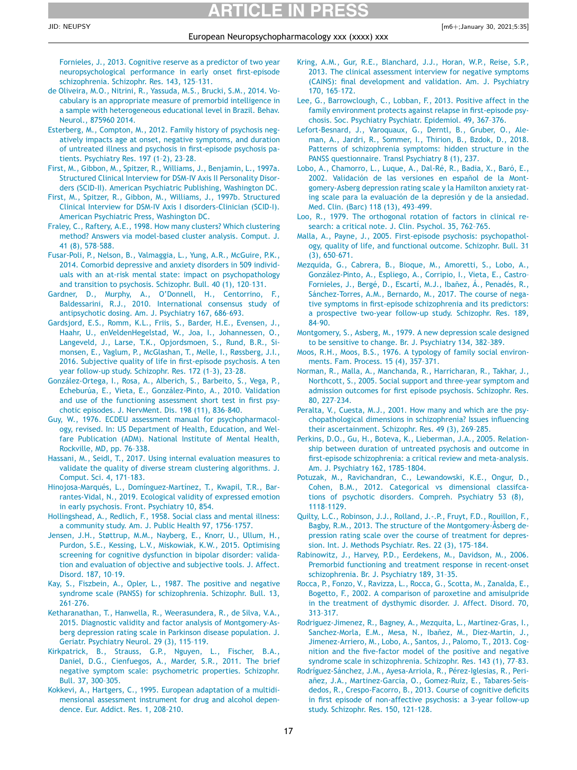#### European Neuropsychopharmacology xxx (xxxx) xxx

<span id="page-16-0"></span>[Fornieles,](http://refhub.elsevier.com/S0924-977X(21)00110-3/sbref0023) J., 2013. Cognitive reserve as a predictor of two year [neuropsychological](http://refhub.elsevier.com/S0924-977X(21)00110-3/sbref0023) performance in early onset first-episode schizophrenia. Schizophr. Res. 143, 125–131.

- de [Oliveira,](http://refhub.elsevier.com/S0924-977X(21)00110-3/sbref0024) M.O., [Nitrini,](http://refhub.elsevier.com/S0924-977X(21)00110-3/sbref0024) R., [Yassuda,](http://refhub.elsevier.com/S0924-977X(21)00110-3/sbref0024) M.S., [Brucki,](http://refhub.elsevier.com/S0924-977X(21)00110-3/sbref0024) S.M., 2014. Vocabulary is an appropriate measure of premorbid intelligence in a sample with [heterogeneous](http://refhub.elsevier.com/S0924-977X(21)00110-3/sbref0024) educational level in Brazil. Behav. Neurol., 875960 2014.
- [Esterberg,](http://refhub.elsevier.com/S0924-977X(21)00110-3/sbref0025) M., [Compton,](http://refhub.elsevier.com/S0924-977X(21)00110-3/sbref0025) M., 2012. Family history of psychosis negatively impacts age at onset, negative symptoms, and duration of untreated illness and psychosis in [first-episode](http://refhub.elsevier.com/S0924-977X(21)00110-3/sbref0025) psychosis patients. Psychiatry Res. 197 (1–2), 23–28.
- [First,](http://refhub.elsevier.com/S0924-977X(21)00110-3/sbref0026) M., [Gibbon,](http://refhub.elsevier.com/S0924-977X(21)00110-3/sbref0026) M., [Spitzer,](http://refhub.elsevier.com/S0924-977X(21)00110-3/sbref0026) R., [Williams,](http://refhub.elsevier.com/S0924-977X(21)00110-3/sbref0026) J., [Benjamin,](http://refhub.elsevier.com/S0924-977X(21)00110-3/sbref0026) L., 1997a. Structured Clinical Interview for DSM-IV Axis II Personality Disorders (SCID-II). American Psychiatric Publishing, [Washington](http://refhub.elsevier.com/S0924-977X(21)00110-3/sbref0026) DC.
- [First,](http://refhub.elsevier.com/S0924-977X(21)00110-3/sbref0027) M., [Spitzer,](http://refhub.elsevier.com/S0924-977X(21)00110-3/sbref0027) R., [Gibbon,](http://refhub.elsevier.com/S0924-977X(21)00110-3/sbref0027) M., [Williams,](http://refhub.elsevier.com/S0924-977X(21)00110-3/sbref0027) J., 1997b. Structured Clinical Interview for DSM-IV Axis I [disorders-Clinician](http://refhub.elsevier.com/S0924-977X(21)00110-3/sbref0027) (SCID-I). American Psychiatric Press, Washington DC.
- [Fraley,](http://refhub.elsevier.com/S0924-977X(21)00110-3/sbref0029) C., [Raftery,](http://refhub.elsevier.com/S0924-977X(21)00110-3/sbref0029) A.E., 1998. How many clusters? Which clustering method? Answers via [model-based](http://refhub.elsevier.com/S0924-977X(21)00110-3/sbref0029) cluster analysis. Comput. J. 41 (8), 578–588.
- [Fusar-Poli,](http://refhub.elsevier.com/S0924-977X(21)00110-3/sbref0030) P., [Nelson,](http://refhub.elsevier.com/S0924-977X(21)00110-3/sbref0030) B., [Valmaggia,](http://refhub.elsevier.com/S0924-977X(21)00110-3/sbref0030) L., [Yung,](http://refhub.elsevier.com/S0924-977X(21)00110-3/sbref0030) A.R., [McGuire,](http://refhub.elsevier.com/S0924-977X(21)00110-3/sbref0030) P.K., 2014. Comorbid depressive and anxiety disorders in 509 individuals with an at-risk mental state: impact on [psychopathology](http://refhub.elsevier.com/S0924-977X(21)00110-3/sbref0030) and transition to psychosis. Schizophr. Bull. 40 (1), 120–131.
- [Gardner,](http://refhub.elsevier.com/S0924-977X(21)00110-3/sbref0031) D., [Murphy,](http://refhub.elsevier.com/S0924-977X(21)00110-3/sbref0031) A., [O'Donnell,](http://refhub.elsevier.com/S0924-977X(21)00110-3/sbref0031) H., [Centorrino,](http://refhub.elsevier.com/S0924-977X(21)00110-3/sbref0031) F., [Baldessarini,](http://refhub.elsevier.com/S0924-977X(21)00110-3/sbref0031) R.J., 2010. International consensus study of [antipsychotic](http://refhub.elsevier.com/S0924-977X(21)00110-3/sbref0031) dosing. Am. J. Psychiatry 167, 686–693.
- [Gardsjord,](http://refhub.elsevier.com/S0924-977X(21)00110-3/sbref0032) E.S., [Romm,](http://refhub.elsevier.com/S0924-977X(21)00110-3/sbref0032) K.L., [Friis,](http://refhub.elsevier.com/S0924-977X(21)00110-3/sbref0032) S., [Barder,](http://refhub.elsevier.com/S0924-977X(21)00110-3/sbref0032) H.E., [Evensen,](http://refhub.elsevier.com/S0924-977X(21)00110-3/sbref0032) J., [Haahr,](http://refhub.elsevier.com/S0924-977X(21)00110-3/sbref0032) U., [enVeldenHegelstad,](http://refhub.elsevier.com/S0924-977X(21)00110-3/sbref0032) W., [Joa,](http://refhub.elsevier.com/S0924-977X(21)00110-3/sbref0032) I., [Johannessen,](http://refhub.elsevier.com/S0924-977X(21)00110-3/sbref0032) O., [Langeveld,](http://refhub.elsevier.com/S0924-977X(21)00110-3/sbref0032) J., [Larse,](http://refhub.elsevier.com/S0924-977X(21)00110-3/sbref0032) T.K., [Opjordsmoen,](http://refhub.elsevier.com/S0924-977X(21)00110-3/sbref0032) S., [Rund,](http://refhub.elsevier.com/S0924-977X(21)00110-3/sbref0032) B.R., Simonsen, E., [Vaglum,](http://refhub.elsevier.com/S0924-977X(21)00110-3/sbref0032) P., [McGlashan,](http://refhub.elsevier.com/S0924-977X(21)00110-3/sbref0032) T., [Melle,](http://refhub.elsevier.com/S0924-977X(21)00110-3/sbref0032) I., [Røssberg,](http://refhub.elsevier.com/S0924-977X(21)00110-3/sbref0032) J.I., 2016. Subjective quality of life in [first-episode](http://refhub.elsevier.com/S0924-977X(21)00110-3/sbref0032) psychosis. A ten year follow-up study. Schizophr. Res. 172 (1–3), 23–28.
- [González-Ortega,](http://refhub.elsevier.com/S0924-977X(21)00110-3/sbref0033) I., [Rosa,](http://refhub.elsevier.com/S0924-977X(21)00110-3/sbref0033) A., [Alberich,](http://refhub.elsevier.com/S0924-977X(21)00110-3/sbref0033) S., [Barbeito,](http://refhub.elsevier.com/S0924-977X(21)00110-3/sbref0033) S., [Vega,](http://refhub.elsevier.com/S0924-977X(21)00110-3/sbref0033) P., [Echeburúa,](http://refhub.elsevier.com/S0924-977X(21)00110-3/sbref0033) E., [Vieta,](http://refhub.elsevier.com/S0924-977X(21)00110-3/sbref0033) E., [González-Pinto,](http://refhub.elsevier.com/S0924-977X(21)00110-3/sbref0033) A., 2010. Validation and use of the functioning assessment short test in first psychotic episodes. J. NervMent. Dis. 198 (11), 836–840.
- [Guy,](http://refhub.elsevier.com/S0924-977X(21)00110-3/sbref0034) W., 1976. ECDEU assessment manual for [psychopharmacol](http://refhub.elsevier.com/S0924-977X(21)00110-3/sbref0034)ogy, revised. In: US Department of Health, Education, and Welfare Publication (ADM). National Institute of Mental Health, Rockville, MD, pp. 76–338.
- [Hassani,](http://refhub.elsevier.com/S0924-977X(21)00110-3/sbref0035) M., [Seidl,](http://refhub.elsevier.com/S0924-977X(21)00110-3/sbref0035) T., 2017. Using internal evaluation measures to validate the quality of diverse stream clustering [algorithms.](http://refhub.elsevier.com/S0924-977X(21)00110-3/sbref0035) J. Comput. Sci. 4, 171–183.
- [Hinojosa-Marqués,](http://refhub.elsevier.com/S0924-977X(21)00110-3/sbref0036) L., [Domínguez-Martínez,](http://refhub.elsevier.com/S0924-977X(21)00110-3/sbref0036) T., [Kwapil,](http://refhub.elsevier.com/S0924-977X(21)00110-3/sbref0036) T.R., Bar[rantes-Vidal,](http://refhub.elsevier.com/S0924-977X(21)00110-3/sbref0036) N., 2019. Ecological validity of expressed emotion in early psychosis. Front. Psychiatry 10, 854.
- [Hollingshead,](http://refhub.elsevier.com/S0924-977X(21)00110-3/sbref0037) A., [Redlich,](http://refhub.elsevier.com/S0924-977X(21)00110-3/sbref0037) F., 1958. Social class and mental illness: a community study. Am. J. Public Health 97, 1756–1757.
- [Jensen,](http://refhub.elsevier.com/S0924-977X(21)00110-3/sbref0038) J.H., [Støttrup,](http://refhub.elsevier.com/S0924-977X(21)00110-3/sbref0038) M.M., [Nayberg,](http://refhub.elsevier.com/S0924-977X(21)00110-3/sbref0038) E., [Knorr,](http://refhub.elsevier.com/S0924-977X(21)00110-3/sbref0038) U., [Ullum,](http://refhub.elsevier.com/S0924-977X(21)00110-3/sbref0038) H., [Purdon,](http://refhub.elsevier.com/S0924-977X(21)00110-3/sbref0038) S.E., [Kessing,](http://refhub.elsevier.com/S0924-977X(21)00110-3/sbref0038) L.V., [Miskowiak,](http://refhub.elsevier.com/S0924-977X(21)00110-3/sbref0038) K.W., 2015. Optimising screening for cognitive [dysfunction](http://refhub.elsevier.com/S0924-977X(21)00110-3/sbref0038) in bipolar disorder: validation and evaluation of objective and subjective tools. J. Affect. Disord. 187, 10–19.
- [Kay,](http://refhub.elsevier.com/S0924-977X(21)00110-3/sbref0039) S., [Fiszbein,](http://refhub.elsevier.com/S0924-977X(21)00110-3/sbref0039) A., [Opler,](http://refhub.elsevier.com/S0924-977X(21)00110-3/sbref0039) L., 1987. The positive and negative syndrome scale (PANSS) for [schizophrenia.](http://refhub.elsevier.com/S0924-977X(21)00110-3/sbref0039) Schizophr. Bull. 13, 261–276.
- [Ketharanathan,](http://refhub.elsevier.com/S0924-977X(21)00110-3/sbref0040) T., [Hanwella,](http://refhub.elsevier.com/S0924-977X(21)00110-3/sbref0040) R., [Weerasundera,](http://refhub.elsevier.com/S0924-977X(21)00110-3/sbref0040) R., de [Silva,](http://refhub.elsevier.com/S0924-977X(21)00110-3/sbref0040) V.A., 2015. Diagnostic validity and factor analysis of [Montgomery-As](http://refhub.elsevier.com/S0924-977X(21)00110-3/sbref0040)berg depression rating scale in Parkinson disease population. J. Geriatr. Psychiatry Neurol. 29 (3), 115–119.
- [Kirkpatrick,](http://refhub.elsevier.com/S0924-977X(21)00110-3/sbref0041) B., [Strauss,](http://refhub.elsevier.com/S0924-977X(21)00110-3/sbref0041) G.P., [Nguyen,](http://refhub.elsevier.com/S0924-977X(21)00110-3/sbref0041) L., [Fischer,](http://refhub.elsevier.com/S0924-977X(21)00110-3/sbref0041) B.A., [Daniel,](http://refhub.elsevier.com/S0924-977X(21)00110-3/sbref0041) D.G., [Cienfuegos,](http://refhub.elsevier.com/S0924-977X(21)00110-3/sbref0041) A., [Marder,](http://refhub.elsevier.com/S0924-977X(21)00110-3/sbref0041) S.R., 2011. The brief negative symptom scale: [psychometric](http://refhub.elsevier.com/S0924-977X(21)00110-3/sbref0041) properties. Schizophr. Bull. 37, 300–305.
- [Kokkevi,](http://refhub.elsevier.com/S0924-977X(21)00110-3/sbref0042) A., [Hartgers,](http://refhub.elsevier.com/S0924-977X(21)00110-3/sbref0042) C., 1995. European adaptation of a multidimensional [assessment](http://refhub.elsevier.com/S0924-977X(21)00110-3/sbref0042) instrument for drug and alcohol dependence. Eur. Addict. Res. 1, 208–210.
- [Kring,](http://refhub.elsevier.com/S0924-977X(21)00110-3/sbref0043) A.M., Gur, [R.E.,](http://refhub.elsevier.com/S0924-977X(21)00110-3/sbref0043) [Blanchard,](http://refhub.elsevier.com/S0924-977X(21)00110-3/sbref0043) J.J., [Horan,](http://refhub.elsevier.com/S0924-977X(21)00110-3/sbref0043) W.P., [Reise,](http://refhub.elsevier.com/S0924-977X(21)00110-3/sbref0043) S.P., 2013. The clinical assessment interview for negative symptoms (CAINS): final [development](http://refhub.elsevier.com/S0924-977X(21)00110-3/sbref0043) and validation. Am. J. Psychiatry 170, 165–172.
- [Lee,](http://refhub.elsevier.com/S0924-977X(21)00110-3/sbref0044) G., [Barrowclough,](http://refhub.elsevier.com/S0924-977X(21)00110-3/sbref0044) C., [Lobban,](http://refhub.elsevier.com/S0924-977X(21)00110-3/sbref0044) F., 2013. Positive affect in the family environment protects against relapse in first-episode psychosis. Soc. Psychiatry Psychiatr. Epidemiol. 49, 367–376.
- [Lefort-Besnard,](http://refhub.elsevier.com/S0924-977X(21)00110-3/sbref0045) J., [Varoquaux,](http://refhub.elsevier.com/S0924-977X(21)00110-3/sbref0045) G., [Derntl,](http://refhub.elsevier.com/S0924-977X(21)00110-3/sbref0045) B., [Gruber,](http://refhub.elsevier.com/S0924-977X(21)00110-3/sbref0045) O., Aleman, A., [Jardri,](http://refhub.elsevier.com/S0924-977X(21)00110-3/sbref0045) R., [Sommer,](http://refhub.elsevier.com/S0924-977X(21)00110-3/sbref0045) I., [Thirion,](http://refhub.elsevier.com/S0924-977X(21)00110-3/sbref0045) B., [Bzdok,](http://refhub.elsevier.com/S0924-977X(21)00110-3/sbref0045) D., 2018. Patterns of schizophrenia symptoms: hidden structure in the PANSS [questionnaire.](http://refhub.elsevier.com/S0924-977X(21)00110-3/sbref0045) Transl Psychiatry 8 (1), 237.
- [Lobo,](http://refhub.elsevier.com/S0924-977X(21)00110-3/sbref0046) A., [Chamorro,](http://refhub.elsevier.com/S0924-977X(21)00110-3/sbref0046) L., [Luque,](http://refhub.elsevier.com/S0924-977X(21)00110-3/sbref0046) A., [Dal-Ré,](http://refhub.elsevier.com/S0924-977X(21)00110-3/sbref0046) R., [Badia,](http://refhub.elsevier.com/S0924-977X(21)00110-3/sbref0046) X., [Baró,](http://refhub.elsevier.com/S0924-977X(21)00110-3/sbref0046) E., 2002. Validación de las versiones en español de la Mont[gomery-Asberg](http://refhub.elsevier.com/S0924-977X(21)00110-3/sbref0046) depression rating scale y la Hamilton anxiety rating scale para la evaluación de la depresión y de la ansiedad. Med. Clin. (Barc) 118 (13), 493–499.
- [Loo,](http://refhub.elsevier.com/S0924-977X(21)00110-3/sbref0047) R., 1979. The [orthogonal](http://refhub.elsevier.com/S0924-977X(21)00110-3/sbref0047) rotation of factors in clinical research: a critical note. J. Clin. Psychol. 35, 762–765.
- [Malla,](http://refhub.elsevier.com/S0924-977X(21)00110-3/sbref0048) A., [Payne,](http://refhub.elsevier.com/S0924-977X(21)00110-3/sbref0048) J., 2005. First-episode psychosis: [psychopathol](http://refhub.elsevier.com/S0924-977X(21)00110-3/sbref0048)ogy, quality of life, and functional outcome. Schizophr. Bull. 31 (3), 650–671.
- [Mezquida,](http://refhub.elsevier.com/S0924-977X(21)00110-3/sbref0049) G., [Cabrera,](http://refhub.elsevier.com/S0924-977X(21)00110-3/sbref0049) B., [Bioque,](http://refhub.elsevier.com/S0924-977X(21)00110-3/sbref0049) M., [Amoretti,](http://refhub.elsevier.com/S0924-977X(21)00110-3/sbref0049) S., [Lobo,](http://refhub.elsevier.com/S0924-977X(21)00110-3/sbref0049) A., [González-Pinto,](http://refhub.elsevier.com/S0924-977X(21)00110-3/sbref0049) A., [Espliego,](http://refhub.elsevier.com/S0924-977X(21)00110-3/sbref0049) A., [Corripio,](http://refhub.elsevier.com/S0924-977X(21)00110-3/sbref0049) I., [Vieta,](http://refhub.elsevier.com/S0924-977X(21)00110-3/sbref0049) E., Castro– Fornieles, J., [Bergé,](http://refhub.elsevier.com/S0924-977X(21)00110-3/sbref0049) D., [Escartí,](http://refhub.elsevier.com/S0924-977X(21)00110-3/sbref0049) M.J., [Ibañez,](http://refhub.elsevier.com/S0924-977X(21)00110-3/sbref0049) Á., [Penadés,](http://refhub.elsevier.com/S0924-977X(21)00110-3/sbref0049) R., [Sánchez-Torres,](http://refhub.elsevier.com/S0924-977X(21)00110-3/sbref0049) A.M., [Bernardo,](http://refhub.elsevier.com/S0924-977X(21)00110-3/sbref0049) M., 2017. The course of negative symptoms in first-episode schizophrenia and its predictors: a prospective two-year follow-up study. Schizophr. Res. 189, 84–90.
- [Montgomery,](http://refhub.elsevier.com/S0924-977X(21)00110-3/sbref0050) S., [Asberg,](http://refhub.elsevier.com/S0924-977X(21)00110-3/sbref0050) M., 1979. A new [depression](http://refhub.elsevier.com/S0924-977X(21)00110-3/sbref0050) scale designed to be sensitive to change. Br. J. Psychiatry 134, 382–389.
- [Moos,](http://refhub.elsevier.com/S0924-977X(21)00110-3/sbref0051) R.H., [Moos,](http://refhub.elsevier.com/S0924-977X(21)00110-3/sbref0051) B.S., 1976. A typology of family social environments. Fam. Process. 15 (4), [357–371.](http://refhub.elsevier.com/S0924-977X(21)00110-3/sbref0051)
- [Norman,](http://refhub.elsevier.com/S0924-977X(21)00110-3/sbref0052) R., [Malla,](http://refhub.elsevier.com/S0924-977X(21)00110-3/sbref0052) A., [Manchanda,](http://refhub.elsevier.com/S0924-977X(21)00110-3/sbref0052) R., [Harricharan,](http://refhub.elsevier.com/S0924-977X(21)00110-3/sbref0052) R., [Takhar,](http://refhub.elsevier.com/S0924-977X(21)00110-3/sbref0052) J., [Northcott,](http://refhub.elsevier.com/S0924-977X(21)00110-3/sbref0052) S., 2005. Social support and [three-year](http://refhub.elsevier.com/S0924-977X(21)00110-3/sbref0052) symptom and admission outcomes for first episode psychosis. Schizophr. Res. 80, 227–234.
- [Peralta,](http://refhub.elsevier.com/S0924-977X(21)00110-3/sbref0053) V., [Cuesta,](http://refhub.elsevier.com/S0924-977X(21)00110-3/sbref0053) M.J., 2001. How many and which are the psy[chopathological](http://refhub.elsevier.com/S0924-977X(21)00110-3/sbref0053) dimensions in schizophrenia? Issues influencing their ascertainment. Schizophr. Res. 49 (3), 269–285.
- [Perkins,](http://refhub.elsevier.com/S0924-977X(21)00110-3/sbref0054) D.O., [Gu,](http://refhub.elsevier.com/S0924-977X(21)00110-3/sbref0054) H., [Boteva,](http://refhub.elsevier.com/S0924-977X(21)00110-3/sbref0054) K., [Lieberman,](http://refhub.elsevier.com/S0924-977X(21)00110-3/sbref0054) J.A., 2005. Relationship between duration of untreated psychosis and outcome in first-episode schizophrenia: a critical review and [meta-analysis.](http://refhub.elsevier.com/S0924-977X(21)00110-3/sbref0054) Am. J. Psychiatry 162, 1785–1804.
- [Potuzak,](http://refhub.elsevier.com/S0924-977X(21)00110-3/sbref0055) M., [Ravichandran,](http://refhub.elsevier.com/S0924-977X(21)00110-3/sbref0055) C., [Lewandowski,](http://refhub.elsevier.com/S0924-977X(21)00110-3/sbref0055) K.E., [Ongur,](http://refhub.elsevier.com/S0924-977X(21)00110-3/sbref0055) D., [Cohen,](http://refhub.elsevier.com/S0924-977X(21)00110-3/sbref0055) B.M., 2012. Categorical vs [dimensional](http://refhub.elsevier.com/S0924-977X(21)00110-3/sbref0055) classifcations of psychotic disorders. Compreh. Psychiatry 53 (8), 1118–1129.
- [Quilty,](http://refhub.elsevier.com/S0924-977X(21)00110-3/sbref0056) L.C., [Robinson,](http://refhub.elsevier.com/S0924-977X(21)00110-3/sbref0056) J.J., [Rolland,](http://refhub.elsevier.com/S0924-977X(21)00110-3/sbref0056) J.-.P., [Fruyt,](http://refhub.elsevier.com/S0924-977X(21)00110-3/sbref0056) F.D., [Rouillon,](http://refhub.elsevier.com/S0924-977X(21)00110-3/sbref0056) F., [Bagby,](http://refhub.elsevier.com/S0924-977X(21)00110-3/sbref0056) R.M., 2013. The structure of the [Montgomery-Asberg](http://refhub.elsevier.com/S0924-977X(21)00110-3/sbref0056) depression rating scale over the course of treatment for depression. Int. J. Methods Psychiatr. Res. 22 (3), 175–184.
- [Rabinowitz,](http://refhub.elsevier.com/S0924-977X(21)00110-3/sbref0057) J., [Harvey,](http://refhub.elsevier.com/S0924-977X(21)00110-3/sbref0057) P.D., [Eerdekens,](http://refhub.elsevier.com/S0924-977X(21)00110-3/sbref0057) M., [Davidson,](http://refhub.elsevier.com/S0924-977X(21)00110-3/sbref0057) M., 2006. Premorbid functioning and treatment response in recent-onset [schizophrenia.](http://refhub.elsevier.com/S0924-977X(21)00110-3/sbref0057) Br. J. Psychiatry 189, 31–35.
- [Rocca,](http://refhub.elsevier.com/S0924-977X(21)00110-3/sbref0058) P., [Fonzo,](http://refhub.elsevier.com/S0924-977X(21)00110-3/sbref0058) V., [Ravizza,](http://refhub.elsevier.com/S0924-977X(21)00110-3/sbref0058) L., [Rocca,](http://refhub.elsevier.com/S0924-977X(21)00110-3/sbref0058) G., [Scotta,](http://refhub.elsevier.com/S0924-977X(21)00110-3/sbref0058) M., [Zanalda,](http://refhub.elsevier.com/S0924-977X(21)00110-3/sbref0058) E., [Bogetto,](http://refhub.elsevier.com/S0924-977X(21)00110-3/sbref0058) F., 2002. A comparison of paroxetine and [amisulpride](http://refhub.elsevier.com/S0924-977X(21)00110-3/sbref0058) in the treatment of dysthymic disorder. J. Affect. Disord. 70, 313–317.
- [Rodriguez-Jimenez,](http://refhub.elsevier.com/S0924-977X(21)00110-3/sbref0059) R., [Bagney,](http://refhub.elsevier.com/S0924-977X(21)00110-3/sbref0059) A., [Mezquita,](http://refhub.elsevier.com/S0924-977X(21)00110-3/sbref0059) L., [Martinez-Gras,](http://refhub.elsevier.com/S0924-977X(21)00110-3/sbref0059) I., [Sanchez-Morla,](http://refhub.elsevier.com/S0924-977X(21)00110-3/sbref0059) E.M., [Mesa,](http://refhub.elsevier.com/S0924-977X(21)00110-3/sbref0059) N., [Ibañez,](http://refhub.elsevier.com/S0924-977X(21)00110-3/sbref0059) M., [Diez-Martin,](http://refhub.elsevier.com/S0924-977X(21)00110-3/sbref0059) J., [Jimenez-Arriero,](http://refhub.elsevier.com/S0924-977X(21)00110-3/sbref0059) M., [Lobo,](http://refhub.elsevier.com/S0924-977X(21)00110-3/sbref0059) A., [Santos,](http://refhub.elsevier.com/S0924-977X(21)00110-3/sbref0059) J., [Palomo,](http://refhub.elsevier.com/S0924-977X(21)00110-3/sbref0059) T., 2013. Cognition and the five-factor model of the positive and negative syndrome scale in schizophrenia. Schizophr. Res. 143 (1), 77–83.
- [Rodríguez-Sánchez,](http://refhub.elsevier.com/S0924-977X(21)00110-3/sbref0060) J.M., [Ayesa-Arriola,](http://refhub.elsevier.com/S0924-977X(21)00110-3/sbref0060) R., [Pérez-Iglesias,](http://refhub.elsevier.com/S0924-977X(21)00110-3/sbref0060) R., Periañez, J.A., [Martinez-Garcia,](http://refhub.elsevier.com/S0924-977X(21)00110-3/sbref0060) O., [Gomez-Ruiz,](http://refhub.elsevier.com/S0924-977X(21)00110-3/sbref0060) E., Tabares-Seisdedos, R., [Crespo-Facorro,](http://refhub.elsevier.com/S0924-977X(21)00110-3/sbref0060) B., 2013. Course of cognitive deficits in first episode of non-affective psychosis: a 3-year follow-up study. Schizophr. Res. 150, 121–128.

17